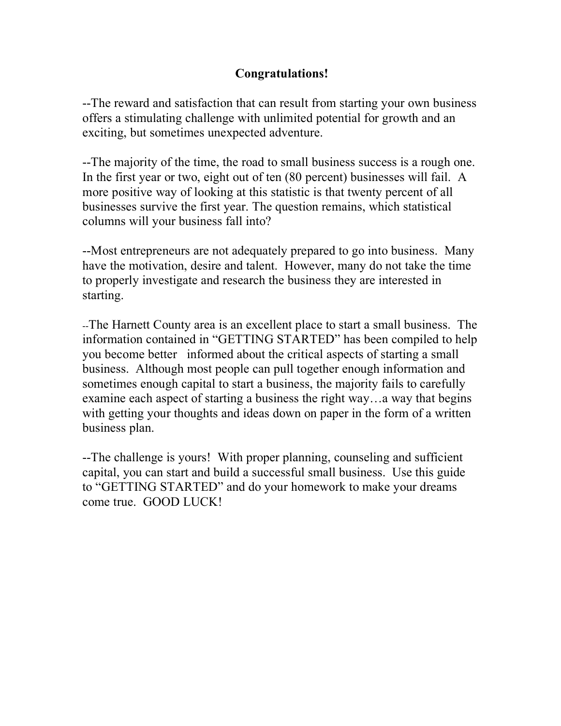# **Congratulations!**

--The reward and satisfaction that can result from starting your own business offers a stimulating challenge with unlimited potential for growth and an exciting, but sometimes unexpected adventure.

--The majority of the time, the road to small business success is a rough one. In the first year or two, eight out of ten (80 percent) businesses will fail. A more positive way of looking at this statistic is that twenty percent of all businesses survive the first year. The question remains, which statistical columns will your business fall into?

--Most entrepreneurs are not adequately prepared to go into business. Many have the motivation, desire and talent. However, many do not take the time to properly investigate and research the business they are interested in starting.

--The Harnett County area is an excellent place to start a small business. The information contained in "GETTING STARTED" has been compiled to help you become better informed about the critical aspects of starting a small business. Although most people can pull together enough information and sometimes enough capital to start a business, the majority fails to carefully examine each aspect of starting a business the right way…a way that begins with getting your thoughts and ideas down on paper in the form of a written business plan.

--The challenge is yours! With proper planning, counseling and sufficient capital, you can start and build a successful small business. Use this guide to "GETTING STARTED" and do your homework to make your dreams come true. GOOD LUCK!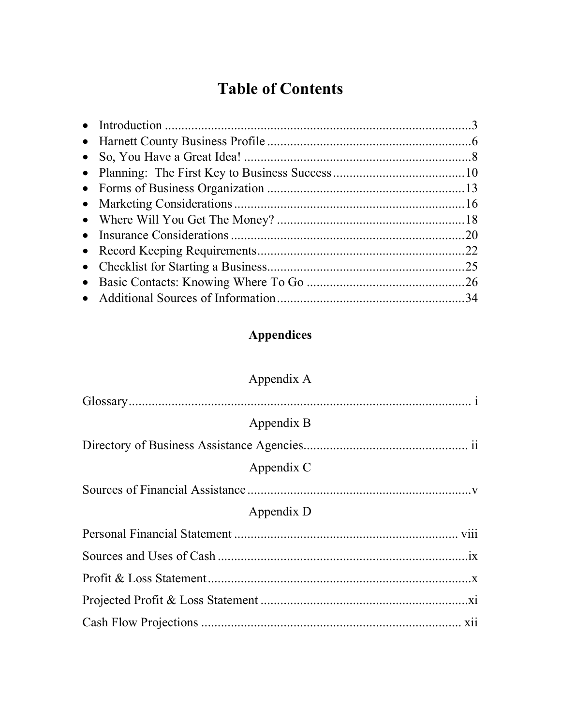# **Table of Contents**

|  | .25 |
|--|-----|
|  |     |
|  |     |

# **Appendices**

| Appendix A |
|------------|
|            |
| Appendix B |
|            |
| Appendix C |
|            |
| Appendix D |
|            |
|            |
|            |
|            |
|            |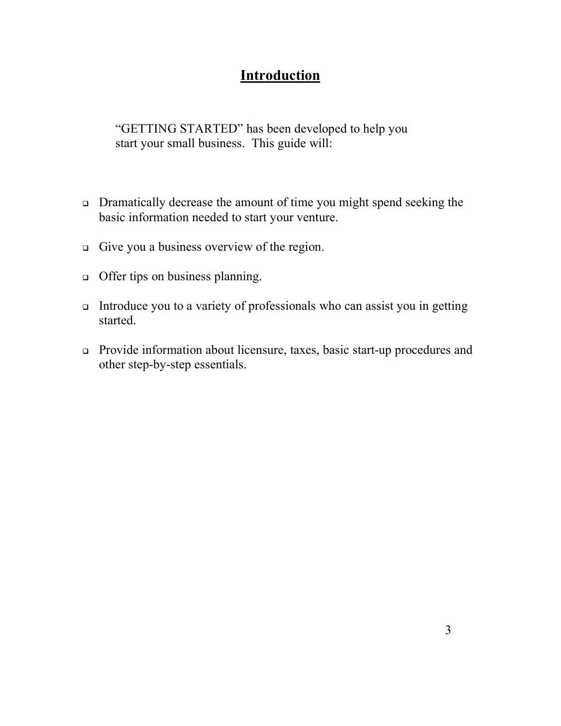# **Introduction**

"GETTING STARTED" has been developed to help you start your small business. This guide will:

- <sup>q</sup> Dramatically decrease the amount of time you might spend seeking the basic information needed to start your venture.
- $\Box$  Give you a business overview of the region.
- offer tips on business planning.
- <sup>q</sup> Introduce you to a variety of professionals who can assist you in getting started.
- <sup>q</sup> Provide information about licensure, taxes, basic start-up procedures and other step-by-step essentials.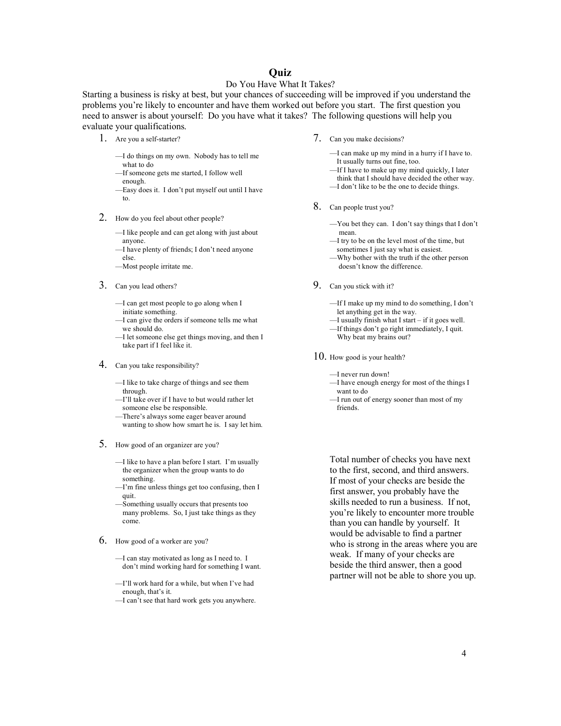# **Quiz**

#### Do You Have What It Takes?

Starting a business is risky at best, but your chances of succeeding will be improved if you understand the problems you're likely to encounter and have them worked out before you start. The first question you need to answer is about yourself: Do you have what it takes? The following questions will help you evaluate your qualifications.

- 1. Are you a self-starter?
	- —I do things on my own. Nobody has to tell me what to do
	- —If someone gets me started, I follow well enough.
	- —Easy does it. I don't put myself out until I have to.
- 2. How do you feel about other people?

—I like people and can get along with just about anyone.

- —I have plenty of friends; I don't need anyone else.
- —Most people irritate me.
- 3. Can you lead others?
	- —I can get most people to go along when I initiate something.
	- —I can give the orders if someone tells me what we should do.
	- —I let someone else get things moving, and then I take part if I feel like it.
- 4. Can you take responsibility?
	- —I like to take charge of things and see them through.
	- —I'll take over if I have to but would rather let someone else be responsible.
	- —There's always some eager beaver around wanting to show how smart he is. I say let him.
- 5. How good of an organizer are you?
	- —I like to have a plan before I start. I'm usually the organizer when the group wants to do something.
	- —I'm fine unless things get too confusing, then I quit.
	- —Something usually occurs that presents too many problems. So, I just take things as they come.
- 6. How good of a worker are you?
	- —I can stay motivated as long as I need to. I don't mind working hard for something I want.
	- —I'll work hard for a while, but when I've had enough, that's it.
	- —I can't see that hard work gets you anywhere.
- 7. Can you make decisions?
	- —I can make up my mind in a hurry if I have to. It usually turns out fine, too.
	- —If I have to make up my mind quickly, I later
	- think that I should have decided the other way.
	- —I don't like to be the one to decide things.
- 8. Can people trust you?
	- —You bet they can. I don't say things that I don't mean.
	- —I try to be on the level most of the time, but sometimes I just say what is easiest.
	- —Why bother with the truth if the other person doesn't know the difference.
- 9. Can you stick with it?
	- —If I make up my mind to do something, I don't let anything get in the way.
	- —I usually finish what I start if it goes well.
	- —If things don't go right immediately, I quit. Why beat my brains out?
- 10. How good is your health?
	- —I never run down!
	- —I have enough energy for most of the things I want to do
	- —I run out of energy sooner than most of my friends.

Total number of checks you have next to the first, second, and third answers. If most of your checks are beside the first answer, you probably have the skills needed to run a business. If not, you're likely to encounter more trouble than you can handle by yourself. It would be advisable to find a partner who is strong in the areas where you are weak. If many of your checks are beside the third answer, then a good partner will not be able to shore you up.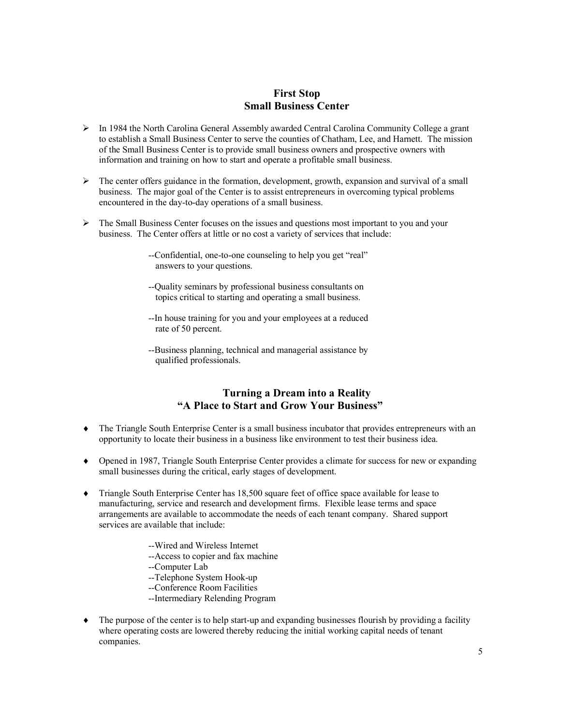# **First Stop Small Business Center**

- $\triangleright$  In 1984 the North Carolina General Assembly awarded Central Carolina Community College a grant to establish a Small Business Center to serve the counties of Chatham, Lee, and Harnett. The mission of the Small Business Center is to provide small business owners and prospective owners with information and training on how to start and operate a profitable small business.
- $\triangleright$  The center offers guidance in the formation, development, growth, expansion and survival of a small business. The major goal of the Center is to assist entrepreneurs in overcoming typical problems encountered in the day-to-day operations of a small business.
- $\triangleright$  The Small Business Center focuses on the issues and questions most important to you and your business. The Center offers at little or no cost a variety of services that include:
	- --Confidential, one-to-one counseling to help you get "real" answers to your questions.
	- --Quality seminars by professional business consultants on topics critical to starting and operating a small business.
	- --In house training for you and your employees at a reduced rate of 50 percent.
	- --Business planning, technical and managerial assistance by qualified professionals.

# **Turning a Dream into a Reality "A Place to Start and Grow Your Business"**

- The Triangle South Enterprise Center is a small business incubator that provides entrepreneurs with an opportunity to locate their business in a business like environment to test their business idea.
- Opened in 1987, Triangle South Enterprise Center provides a climate for success for new or expanding small businesses during the critical, early stages of development.
- Triangle South Enterprise Center has 18,500 square feet of office space available for lease to manufacturing, service and research and development firms. Flexible lease terms and space arrangements are available to accommodate the needs of each tenant company. Shared support services are available that include:
	- --Wired and Wireless Internet
	- --Access to copier and fax machine
	- --Computer Lab
	- --Telephone System Hook-up
	- --Conference Room Facilities
	- --Intermediary Relending Program
- The purpose of the center is to help start-up and expanding businesses flourish by providing a facility where operating costs are lowered thereby reducing the initial working capital needs of tenant companies.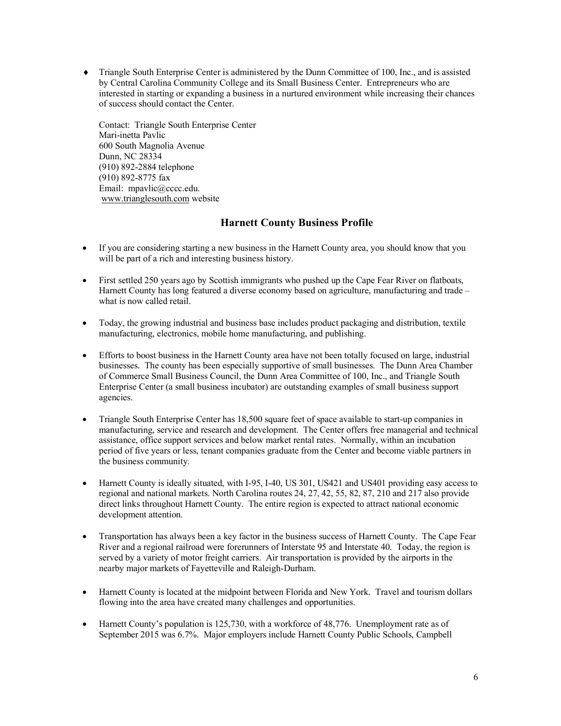• Triangle South Enterprise Center is administered by the Dunn Committee of 100, Inc., and is assisted by Central Carolina Community College and its Small Business Center. Entrepreneurs who are interested in starting or expanding a business in a nurtured environment while increasing their chances of success should contact the Center.

Contact: Triangle South Enterprise Center Mari-inetta Pavlic 600 South Magnolia Avenue Dunn, NC 28334 (910) 892-2884 telephone (910) 892-8775 fax Email: mpavlic@cccc.edu. www.trianglesouth.com website

# **Harnett County Business Profile**

- If you are considering starting a new business in the Harnett County area, you should know that you will be part of a rich and interesting business history.
- First settled 250 years ago by Scottish immigrants who pushed up the Cape Fear River on flatboats, Harnett County has long featured a diverse economy based on agriculture, manufacturing and trade – what is now called retail.
- Today, the growing industrial and business base includes product packaging and distribution, textile manufacturing, electronics, mobile home manufacturing, and publishing.
- Efforts to boost business in the Harnett County area have not been totally focused on large, industrial businesses. The county has been especially supportive of small businesses. The Dunn Area Chamber of Commerce Small Business Council, the Dunn Area Committee of 100, Inc., and Triangle South Enterprise Center (a small business incubator) are outstanding examples of small business support agencies.
- Triangle South Enterprise Center has 18,500 square feet of space available to start-up companies in manufacturing, service and research and development. The Center offers free managerial and technical assistance, office support services and below market rental rates. Normally, within an incubation period of five years or less, tenant companies graduate from the Center and become viable partners in the business community.
- Harnett County is ideally situated, with I-95, I-40, US 301, US421 and US401 providing easy access to regional and national markets. North Carolina routes 24, 27, 42, 55, 82, 87, 210 and 217 also provide direct links throughout Harnett County. The entire region is expected to attract national economic development attention.
- Transportation has always been a key factor in the business success of Harnett County. The Cape Fear River and a regional railroad were forerunners of Interstate 95 and Interstate 40. Today, the region is served by a variety of motor freight carriers. Air transportation is provided by the airports in the nearby major markets of Fayetteville and Raleigh-Durham.
- Harnett County is located at the midpoint between Florida and New York. Travel and tourism dollars flowing into the area have created many challenges and opportunities.
- Harnett County's population is 125,730, with a workforce of 48,776. Unemployment rate as of September 2015 was 6.7%. Major employers include Harnett County Public Schools, Campbell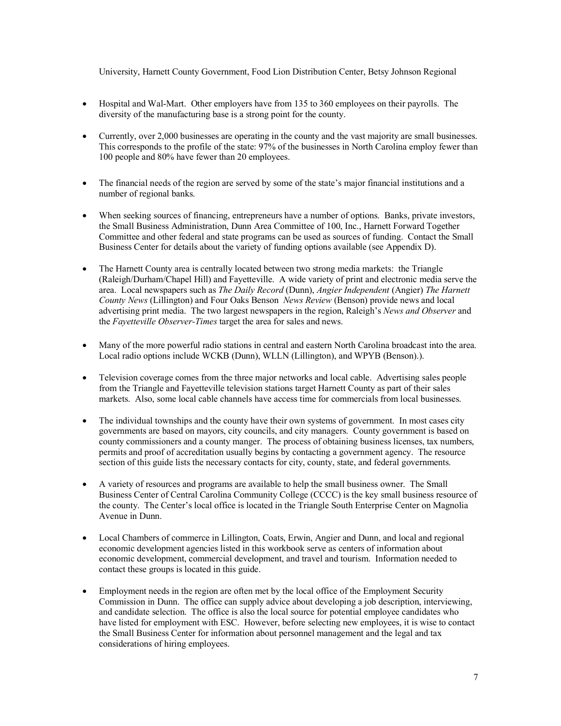University, Harnett County Government, Food Lion Distribution Center, Betsy Johnson Regional

- Hospital and Wal-Mart. Other employers have from 135 to 360 employees on their payrolls. The diversity of the manufacturing base is a strong point for the county.
- Currently, over 2,000 businesses are operating in the county and the vast majority are small businesses. This corresponds to the profile of the state: 97% of the businesses in North Carolina employ fewer than 100 people and 80% have fewer than 20 employees.
- The financial needs of the region are served by some of the state's major financial institutions and a number of regional banks.
- When seeking sources of financing, entrepreneurs have a number of options. Banks, private investors, the Small Business Administration, Dunn Area Committee of 100, Inc., Harnett Forward Together Committee and other federal and state programs can be used as sources of funding. Contact the Small Business Center for details about the variety of funding options available (see Appendix D).
- The Harnett County area is centrally located between two strong media markets: the Triangle (Raleigh/Durham/Chapel Hill) and Fayetteville. A wide variety of print and electronic media serve the area. Local newspapers such as *The Daily Record* (Dunn), *Angier Independent* (Angier) *The Harnett County News* (Lillington) and Four Oaks Benson *News Review* (Benson) provide news and local advertising print media. The two largest newspapers in the region, Raleigh's *News and Observer* and the *Fayetteville Observer-Times* target the area for sales and news.
- Many of the more powerful radio stations in central and eastern North Carolina broadcast into the area. Local radio options include WCKB (Dunn), WLLN (Lillington), and WPYB (Benson).).
- Television coverage comes from the three major networks and local cable. Advertising sales people from the Triangle and Fayetteville television stations target Harnett County as part of their sales markets. Also, some local cable channels have access time for commercials from local businesses.
- The individual townships and the county have their own systems of government. In most cases city governments are based on mayors, city councils, and city managers. County government is based on county commissioners and a county manger. The process of obtaining business licenses, tax numbers, permits and proof of accreditation usually begins by contacting a government agency. The resource section of this guide lists the necessary contacts for city, county, state, and federal governments.
- A variety of resources and programs are available to help the small business owner. The Small Business Center of Central Carolina Community College (CCCC) is the key small business resource of the county. The Center's local office is located in the Triangle South Enterprise Center on Magnolia Avenue in Dunn.
- Local Chambers of commerce in Lillington, Coats, Erwin, Angier and Dunn, and local and regional economic development agencies listed in this workbook serve as centers of information about economic development, commercial development, and travel and tourism. Information needed to contact these groups is located in this guide.
- Employment needs in the region are often met by the local office of the Employment Security Commission in Dunn. The office can supply advice about developing a job description, interviewing, and candidate selection. The office is also the local source for potential employee candidates who have listed for employment with ESC. However, before selecting new employees, it is wise to contact the Small Business Center for information about personnel management and the legal and tax considerations of hiring employees.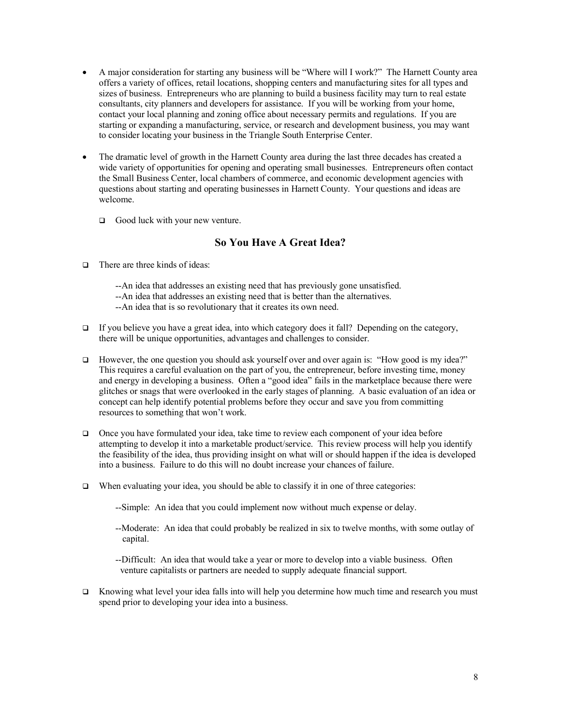- A major consideration for starting any business will be "Where will I work?" The Harnett County area offers a variety of offices, retail locations, shopping centers and manufacturing sites for all types and sizes of business. Entrepreneurs who are planning to build a business facility may turn to real estate consultants, city planners and developers for assistance. If you will be working from your home, contact your local planning and zoning office about necessary permits and regulations. If you are starting or expanding a manufacturing, service, or research and development business, you may want to consider locating your business in the Triangle South Enterprise Center.
- The dramatic level of growth in the Harnett County area during the last three decades has created a wide variety of opportunities for opening and operating small businesses. Entrepreneurs often contact the Small Business Center, local chambers of commerce, and economic development agencies with questions about starting and operating businesses in Harnett County. Your questions and ideas are welcome.
	- $\Box$  Good luck with your new venture.

# **So You Have A Great Idea?**

- $\Box$  There are three kinds of ideas:
	- --An idea that addresses an existing need that has previously gone unsatisfied.
	- --An idea that addresses an existing need that is better than the alternatives.
	- --An idea that is so revolutionary that it creates its own need.
- $\Box$  If you believe you have a great idea, into which category does it fall? Depending on the category, there will be unique opportunities, advantages and challenges to consider.
- $\Box$  However, the one question you should ask yourself over and over again is: "How good is my idea?" This requires a careful evaluation on the part of you, the entrepreneur, before investing time, money and energy in developing a business. Often a "good idea" fails in the marketplace because there were glitches or snags that were overlooked in the early stages of planning. A basic evaluation of an idea or concept can help identify potential problems before they occur and save you from committing resources to something that won't work.
- $\Box$  Once you have formulated your idea, take time to review each component of your idea before attempting to develop it into a marketable product/service. This review process will help you identify the feasibility of the idea, thus providing insight on what will or should happen if the idea is developed into a business. Failure to do this will no doubt increase your chances of failure.
- $\Box$  When evaluating your idea, you should be able to classify it in one of three categories:
	- --Simple: An idea that you could implement now without much expense or delay.
	- --Moderate: An idea that could probably be realized in six to twelve months, with some outlay of capital.
	- --Difficult: An idea that would take a year or more to develop into a viable business. Often venture capitalists or partners are needed to supply adequate financial support.
- $\Box$  Knowing what level your idea falls into will help you determine how much time and research you must spend prior to developing your idea into a business.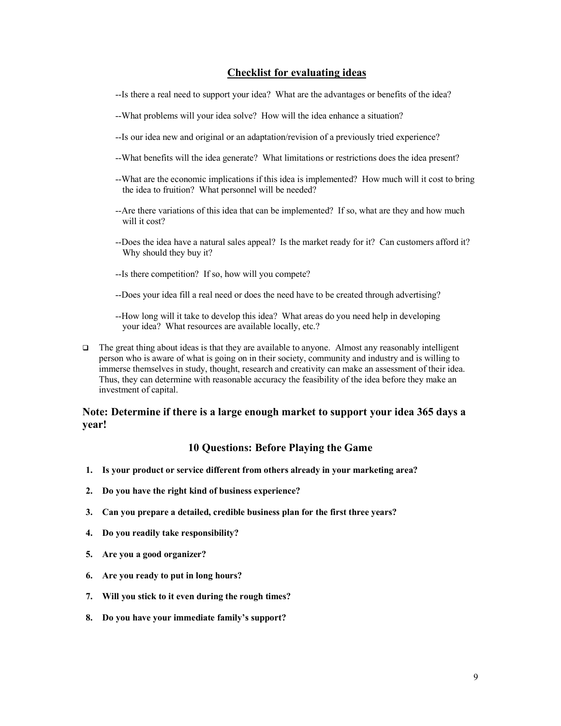# **Checklist for evaluating ideas**

- --Is there a real need to support your idea? What are the advantages or benefits of the idea?
- --What problems will your idea solve? How will the idea enhance a situation?
- --Is our idea new and original or an adaptation/revision of a previously tried experience?
- --What benefits will the idea generate? What limitations or restrictions does the idea present?
- --What are the economic implications if this idea is implemented? How much will it cost to bring the idea to fruition? What personnel will be needed?
- --Are there variations of this idea that can be implemented? If so, what are they and how much will it cost?
- --Does the idea have a natural sales appeal? Is the market ready for it? Can customers afford it? Why should they buy it?
- --Is there competition? If so, how will you compete?
- --Does your idea fill a real need or does the need have to be created through advertising?
- --How long will it take to develop this idea? What areas do you need help in developing your idea? What resources are available locally, etc.?
- $\Box$  The great thing about ideas is that they are available to anyone. Almost any reasonably intelligent person who is aware of what is going on in their society, community and industry and is willing to immerse themselves in study, thought, research and creativity can make an assessment of their idea. Thus, they can determine with reasonable accuracy the feasibility of the idea before they make an investment of capital.

# **Note: Determine if there is a large enough market to support your idea 365 days a year!**

# **10 Questions: Before Playing the Game**

- **1. Is your product or service different from others already in your marketing area?**
- **2. Do you have the right kind of business experience?**
- **3. Can you prepare a detailed, credible business plan for the first three years?**
- **4. Do you readily take responsibility?**
- **5. Are you a good organizer?**
- **6. Are you ready to put in long hours?**
- **7. Will you stick to it even during the rough times?**
- **8. Do you have your immediate family's support?**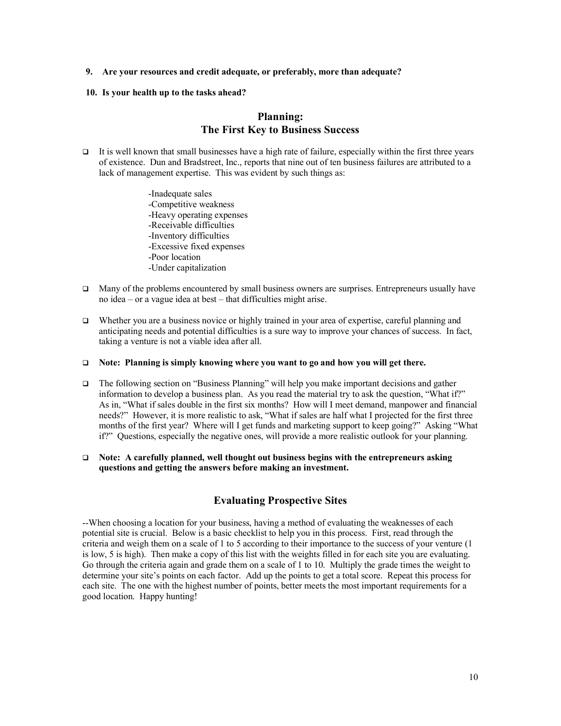**9. Are your resources and credit adequate, or preferably, more than adequate?**

#### **10. Is your health up to the tasks ahead?**

# **Planning: The First Key to Business Success**

- It is well known that small businesses have a high rate of failure, especially within the first three years of existence. Dun and Bradstreet, Inc., reports that nine out of ten business failures are attributed to a lack of management expertise. This was evident by such things as:
	- -Inadequate sales -Competitive weakness -Heavy operating expenses -Receivable difficulties -Inventory difficulties -Excessive fixed expenses -Poor location -Under capitalization
- $\Box$  Many of the problems encountered by small business owners are surprises. Entrepreneurs usually have no idea – or a vague idea at best – that difficulties might arise.
- Whether you are a business novice or highly trained in your area of expertise, careful planning and anticipating needs and potential difficulties is a sure way to improve your chances of success. In fact, taking a venture is not a viable idea after all.
- □ Note: Planning is simply knowing where you want to go and how you will get there.
- $\Box$  The following section on "Business Planning" will help you make important decisions and gather information to develop a business plan. As you read the material try to ask the question, "What if?" As in, "What if sales double in the first six months? How will I meet demand, manpower and financial needs?" However, it is more realistic to ask, "What if sales are half what I projected for the first three months of the first year? Where will I get funds and marketing support to keep going?" Asking "What if?" Questions, especially the negative ones, will provide a more realistic outlook for your planning.
- q **Note: A carefully planned, well thought out business begins with the entrepreneurs asking questions and getting the answers before making an investment.**

# **Evaluating Prospective Sites**

--When choosing a location for your business, having a method of evaluating the weaknesses of each potential site is crucial. Below is a basic checklist to help you in this process. First, read through the criteria and weigh them on a scale of 1 to 5 according to their importance to the success of your venture (1 is low, 5 is high). Then make a copy of this list with the weights filled in for each site you are evaluating. Go through the criteria again and grade them on a scale of 1 to 10. Multiply the grade times the weight to determine your site's points on each factor. Add up the points to get a total score. Repeat this process for each site. The one with the highest number of points, better meets the most important requirements for a good location. Happy hunting!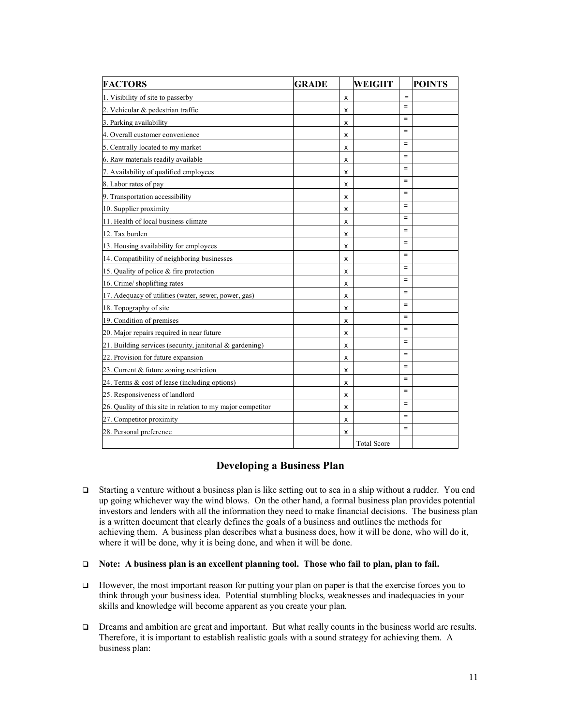| <b>FACTORS</b>                                              | <b>GRADE</b> |   | <b>WEIGHT</b>      |                   | <b>POINTS</b> |
|-------------------------------------------------------------|--------------|---|--------------------|-------------------|---------------|
| 1. Visibility of site to passerby                           |              | x |                    | $\qquad \qquad =$ |               |
| 2. Vehicular & pedestrian traffic                           |              | x |                    | $=$               |               |
| 3. Parking availability                                     |              | x |                    | $=$               |               |
| 4. Overall customer convenience                             |              | x |                    | $=$               |               |
| 5. Centrally located to my market                           |              | x |                    | $=$               |               |
| 6. Raw materials readily available                          |              | x |                    | $=$               |               |
| 7. Availability of qualified employees                      |              | x |                    | $=$               |               |
| 8. Labor rates of pay                                       |              | x |                    | $=$               |               |
| 9. Transportation accessibility                             |              | x |                    | $=$               |               |
| 10. Supplier proximity                                      |              | x |                    | $=$               |               |
| 11. Health of local business climate                        |              | x |                    | $=$               |               |
| 12. Tax burden                                              |              | x |                    | $=$               |               |
| 13. Housing availability for employees                      |              | x |                    | $=$               |               |
| 14. Compatibility of neighboring businesses                 |              | x |                    | $=$               |               |
| 15. Quality of police & fire protection                     |              | x |                    | $\equiv$          |               |
| 16. Crime/ shoplifting rates                                |              | x |                    | $=$               |               |
| 17. Adequacy of utilities (water, sewer, power, gas)        |              | x |                    | $\equiv$          |               |
| 18. Topography of site                                      |              | x |                    | $=$               |               |
| 19. Condition of premises                                   |              | x |                    | $=$               |               |
| 20. Major repairs required in near future                   |              | x |                    | $=$               |               |
| 21. Building services (security, janitorial $\&$ gardening) |              | x |                    | $\equiv$          |               |
| 22. Provision for future expansion                          |              | x |                    | $=$               |               |
| 23. Current & future zoning restriction                     |              | x |                    | $=$               |               |
| 24. Terms & cost of lease (including options)               |              | x |                    | $=$               |               |
| 25. Responsiveness of landlord                              |              | x |                    | $\equiv$          |               |
| 26. Quality of this site in relation to my major competitor |              | x |                    | $=$               |               |
| 27. Competitor proximity                                    |              | x |                    | $=$               |               |
| 28. Personal preference                                     |              | x |                    | $=$               |               |
|                                                             |              |   | <b>Total Score</b> |                   |               |

# **Developing a Business Plan**

- G Starting a venture without a business plan is like setting out to sea in a ship without a rudder. You end up going whichever way the wind blows. On the other hand, a formal business plan provides potential investors and lenders with all the information they need to make financial decisions. The business plan is a written document that clearly defines the goals of a business and outlines the methods for achieving them. A business plan describes what a business does, how it will be done, who will do it, where it will be done, why it is being done, and when it will be done.
- q **Note: A business plan is an excellent planning tool. Those who fail to plan, plan to fail.**
- However, the most important reason for putting your plan on paper is that the exercise forces you to think through your business idea. Potential stumbling blocks, weaknesses and inadequacies in your skills and knowledge will become apparent as you create your plan.
- $\Box$  Dreams and ambition are great and important. But what really counts in the business world are results. Therefore, it is important to establish realistic goals with a sound strategy for achieving them. A business plan: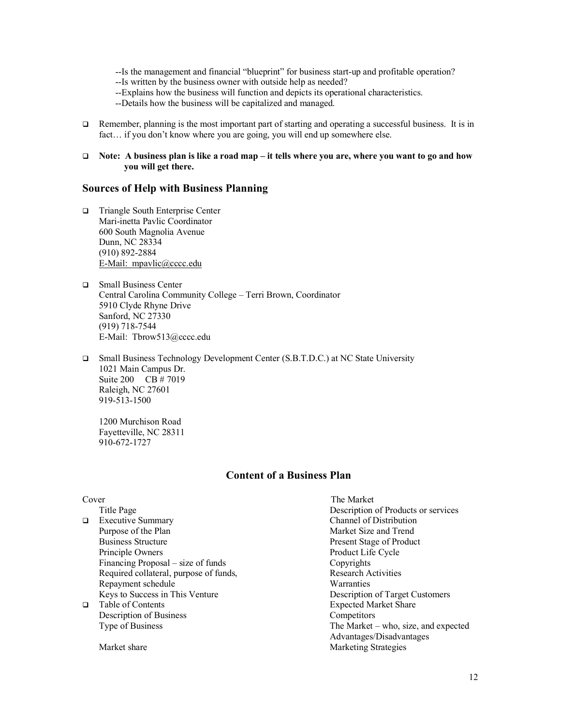--Is the management and financial "blueprint" for business start-up and profitable operation?

- --Is written by the business owner with outside help as needed?
- --Explains how the business will function and depicts its operational characteristics.
- --Details how the business will be capitalized and managed.
- $\Box$  Remember, planning is the most important part of starting and operating a successful business. It is in fact… if you don't know where you are going, you will end up somewhere else.
- q **Note: A business plan is like a road map – it tells where you are, where you want to go and how you will get there.**

### **Sources of Help with Business Planning**

- q Triangle South Enterprise Center Mari-inetta Pavlic Coordinator 600 South Magnolia Avenue Dunn, NC 28334 (910) 892-2884 E-Mail: mpavlic@cccc.edu
- □ Small Business Center Central Carolina Community College – Terri Brown, Coordinator 5910 Clyde Rhyne Drive Sanford, NC 27330 (919) 718-7544 E-Mail: Tbrow513@cccc.edu
- □ Small Business Technology Development Center (S.B.T.D.C.) at NC State University 1021 Main Campus Dr. Suite 200 CB # 7019 Raleigh, NC 27601 919-513-1500

1200 Murchison Road Fayetteville, NC 28311 910-672-1727

# **Content of a Business Plan**

|        | Cover                                  | The Market                           |
|--------|----------------------------------------|--------------------------------------|
|        | Title Page                             | Description of Products or services  |
| $\Box$ | <b>Executive Summary</b>               | Channel of Distribution              |
|        | Purpose of the Plan                    | Market Size and Trend                |
|        | <b>Business Structure</b>              | <b>Present Stage of Product</b>      |
|        | Principle Owners                       | Product Life Cycle                   |
|        | Financing Proposal – size of funds     | Copyrights                           |
|        | Required collateral, purpose of funds, | <b>Research Activities</b>           |
|        | Repayment schedule                     | Warranties                           |
|        | Keys to Success in This Venture        | Description of Target Customers      |
| □      | Table of Contents                      | <b>Expected Market Share</b>         |
|        | Description of Business                | Competitors                          |
|        | Type of Business                       | The Market – who, size, and expected |
|        |                                        | Advantages/Disadvantages             |
|        | Market share                           | <b>Marketing Strategies</b>          |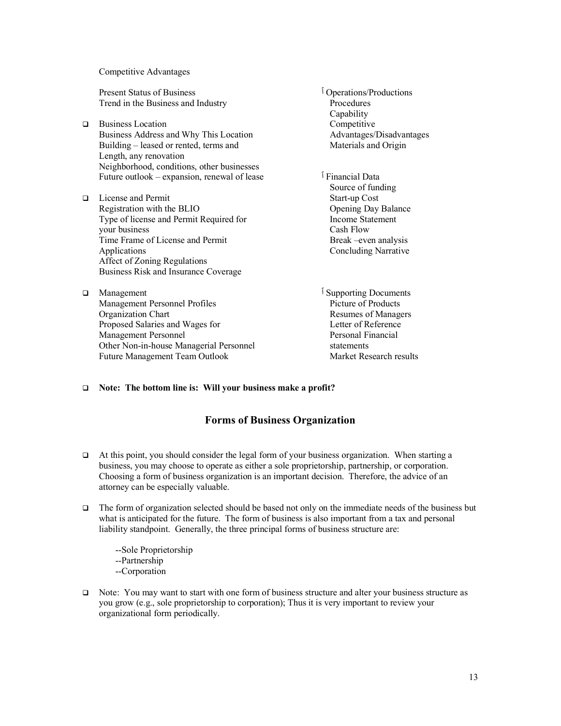Competitive Advantages

Present Status of Business ٱ Operations/Productions Trend in the Business and Industry Procedures

- q Business Location Competitive Business Address and Why This Location Advantages/Disadvantages Building – leased or rented, terms and Materials and Origin Length, any renovation Neighborhood, conditions, other businesses Future outlook – expansion, renewal of lease **I** Financial Data
- □ License and Permit Start-up Cost Registration with the BLIO<br>
Type of license and Permit Required for<br>
Type of license and Permit Required for<br>
Income Statement Type of license and Permit Required for your business Cash Flow Time Frame of License and Permit Break –even analysis Applications Concluding Narrative Affect of Zoning Regulations Business Risk and Insurance Coverage
- □ Management Personnel Profiles is a proporting Documents Management Personnel Profiles is a product of Products Picture of Products is a product of Product of Products and Profiles is a product of Product of Product of P Management Personnel Profiles Organization Chart Resumes of Managers Proposed Salaries and Wages for Letter of Reference Management Personnel Personal Financial Other Non-in-house Managerial Personnel statements Future Management Team Outlook Market Research results

**Capability** 

- Source of funding
- 

#### □ Note: The bottom line is: Will your business make a profit?

# **Forms of Business Organization**

- $\Box$  At this point, you should consider the legal form of your business organization. When starting a business, you may choose to operate as either a sole proprietorship, partnership, or corporation. Choosing a form of business organization is an important decision. Therefore, the advice of an attorney can be especially valuable.
- $\Box$  The form of organization selected should be based not only on the immediate needs of the business but what is anticipated for the future. The form of business is also important from a tax and personal liability standpoint. Generally, the three principal forms of business structure are:
	- --Sole Proprietorship --Partnership --Corporation
- $\Box$  Note: You may want to start with one form of business structure and alter your business structure as you grow (e.g., sole proprietorship to corporation); Thus it is very important to review your organizational form periodically.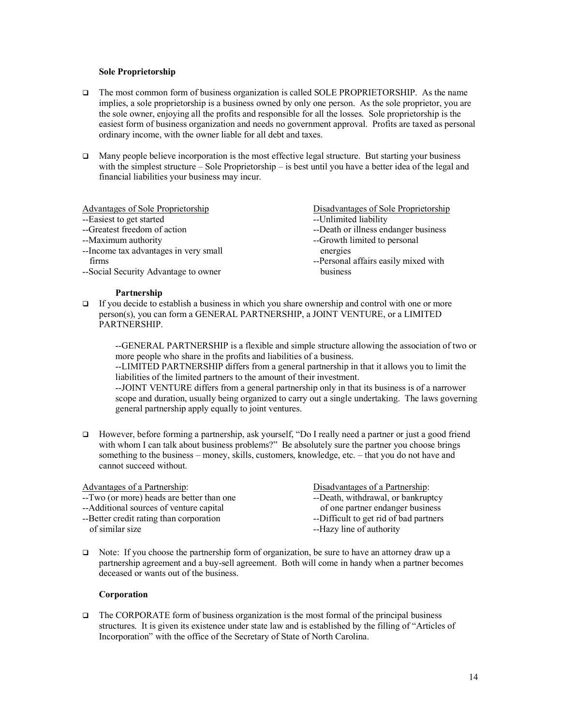#### **Sole Proprietorship**

- $\Box$  The most common form of business organization is called SOLE PROPRIETORSHIP. As the name implies, a sole proprietorship is a business owned by only one person. As the sole proprietor, you are the sole owner, enjoying all the profits and responsible for all the losses. Sole proprietorship is the easiest form of business organization and needs no government approval. Profits are taxed as personal ordinary income, with the owner liable for all debt and taxes.
- $\Box$  Many people believe incorporation is the most effective legal structure. But starting your business with the simplest structure – Sole Proprietorship – is best until you have a better idea of the legal and financial liabilities your business may incur.

| Advantages of Sole Proprietorship     | Disadvantages of Sole Proprietorship |
|---------------------------------------|--------------------------------------|
| --Easiest to get started              | --Unlimited liability                |
| --Greatest freedom of action          | --Death or illness endanger business |
| --Maximum authority                   | --Growth limited to personal         |
| --Income tax advantages in very small | energies                             |
| firms                                 | --Personal affairs easily mixed with |
| --Social Security Advantage to owner  | business                             |
| <b>Partnership</b>                    |                                      |

 $\Box$  If you decide to establish a business in which you share ownership and control with one or more person(s), you can form a GENERAL PARTNERSHIP, a JOINT VENTURE, or a LIMITED PARTNERSHIP.

--GENERAL PARTNERSHIP is a flexible and simple structure allowing the association of two or more people who share in the profits and liabilities of a business.

--LIMITED PARTNERSHIP differs from a general partnership in that it allows you to limit the liabilities of the limited partners to the amount of their investment.

--JOINT VENTURE differs from a general partnership only in that its business is of a narrower scope and duration, usually being organized to carry out a single undertaking. The laws governing general partnership apply equally to joint ventures.

However, before forming a partnership, ask yourself, "Do I really need a partner or just a good friend with whom I can talk about business problems?" Be absolutely sure the partner you choose brings something to the business – money, skills, customers, knowledge, etc. – that you do not have and cannot succeed without.

| Advantages of a Partnership:              | Disadvantages of a Partnership:        |
|-------------------------------------------|----------------------------------------|
| --Two (or more) heads are better than one | --Death, withdrawal, or bankruptcy     |
| --Additional sources of venture capital   | of one partner endanger business       |
| -- Better credit rating than corporation  | --Difficult to get rid of bad partners |
| of similar size                           | --Hazy line of authority               |
|                                           |                                        |

 $\Box$  Note: If you choose the partnership form of organization, be sure to have an attorney draw up a partnership agreement and a buy-sell agreement. Both will come in handy when a partner becomes deceased or wants out of the business.

#### **Corporation**

 $\Box$  The CORPORATE form of business organization is the most formal of the principal business structures. It is given its existence under state law and is established by the filling of "Articles of Incorporation" with the office of the Secretary of State of North Carolina.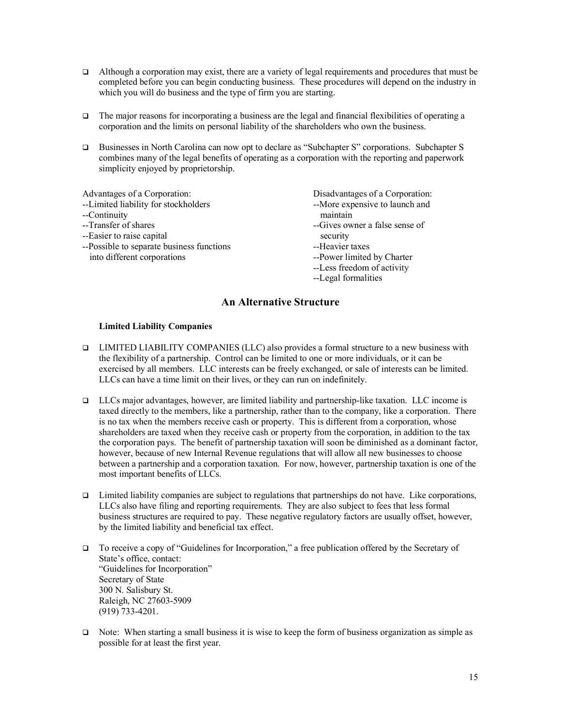- $\Box$  Although a corporation may exist, there are a variety of legal requirements and procedures that must be completed before you can begin conducting business. These procedures will depend on the industry in which you will do business and the type of firm you are starting.
- $\Box$  The major reasons for incorporating a business are the legal and financial flexibilities of operating a corporation and the limits on personal liability of the shareholders who own the business.
- q Businesses in North Carolina can now opt to declare as "Subchapter S" corporations. Subchapter S combines many of the legal benefits of operating as a corporation with the reporting and paperwork simplicity enjoyed by proprietorship.

Advantages of a Corporation:<br>
--Limited liability for stockholders<br>
--More expensive to launch and --Limited liability for stockholders --Continuity maintain --Transfer of shares example a sense of shares  $\overline{a}$ -Gives owner a false sense of --Easier to raise capital security --Possible to separate business functions --Heavier taxes into different corporations --Power limited by Charter

- 
- 
- --Less freedom of activity
- --Legal formalities

# **An Alternative Structure**

#### **Limited Liability Companies**

- q LIMITED LIABILITY COMPANIES (LLC) also provides a formal structure to a new business with the flexibility of a partnership. Control can be limited to one or more individuals, or it can be exercised by all members. LLC interests can be freely exchanged, or sale of interests can be limited. LLCs can have a time limit on their lives, or they can run on indefinitely.
- $\Box$  LLCs major advantages, however, are limited liability and partnership-like taxation. LLC income is taxed directly to the members, like a partnership, rather than to the company, like a corporation. There is no tax when the members receive cash or property. This is different from a corporation, whose shareholders are taxed when they receive cash or property from the corporation, in addition to the tax the corporation pays. The benefit of partnership taxation will soon be diminished as a dominant factor, however, because of new Internal Revenue regulations that will allow all new businesses to choose between a partnership and a corporation taxation. For now, however, partnership taxation is one of the most important benefits of LLCs.
- $\Box$  Limited liability companies are subject to regulations that partnerships do not have. Like corporations, LLCs also have filing and reporting requirements. They are also subject to fees that less formal business structures are required to pay. These negative regulatory factors are usually offset, however, by the limited liability and beneficial tax effect.
- q To receive a copy of "Guidelines for Incorporation," a free publication offered by the Secretary of State's office, contact: "Guidelines for Incorporation" Secretary of State 300 N. Salisbury St. Raleigh, NC 27603-5909 (919) 733-4201.
- $\Box$  Note: When starting a small business it is wise to keep the form of business organization as simple as possible for at least the first year.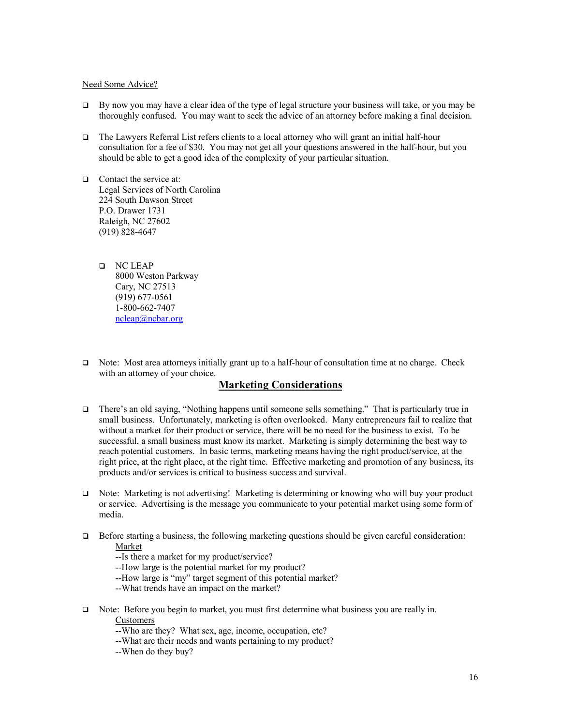#### Need Some Advice?

- $\Box$  By now you may have a clear idea of the type of legal structure your business will take, or you may be thoroughly confused. You may want to seek the advice of an attorney before making a final decision.
- $\Box$  The Lawyers Referral List refers clients to a local attorney who will grant an initial half-hour consultation for a fee of \$30. You may not get all your questions answered in the half-hour, but you should be able to get a good idea of the complexity of your particular situation.
- $\Box$  Contact the service at: Legal Services of North Carolina 224 South Dawson Street P.O. Drawer 1731 Raleigh, NC 27602 (919) 828-4647
	- **Q** NC LEAP 8000 Weston Parkway Cary, NC 27513 (919) 677-0561 1-800-662-7407 ncleap@ncbar.org
- $\Box$  Note: Most area attorneys initially grant up to a half-hour of consultation time at no charge. Check with an attorney of your choice.

# **Marketing Considerations**

- q There's an old saying, "Nothing happens until someone sells something." That is particularly true in small business. Unfortunately, marketing is often overlooked. Many entrepreneurs fail to realize that without a market for their product or service, there will be no need for the business to exist. To be successful, a small business must know its market. Marketing is simply determining the best way to reach potential customers. In basic terms, marketing means having the right product/service, at the right price, at the right place, at the right time. Effective marketing and promotion of any business, its products and/or services is critical to business success and survival.
- □ Note: Marketing is not advertising! Marketing is determining or knowing who will buy your product or service. Advertising is the message you communicate to your potential market using some form of media.
- $\Box$  Before starting a business, the following marketing questions should be given careful consideration: Market
	- --Is there a market for my product/service?
	- --How large is the potential market for my product?
	- --How large is "my" target segment of this potential market?
	- --What trends have an impact on the market?
- $\Box$  Note: Before you begin to market, you must first determine what business you are really in. Customers
	- --Who are they? What sex, age, income, occupation, etc?
	- --What are their needs and wants pertaining to my product?
	- --When do they buy?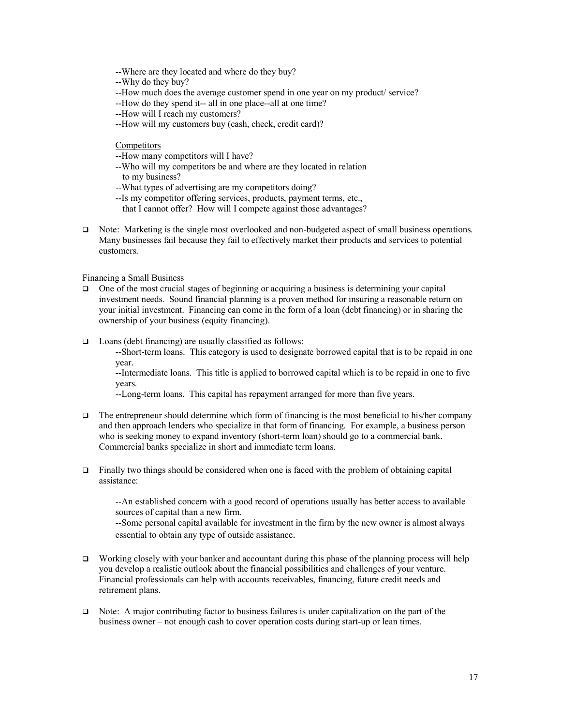- --Where are they located and where do they buy?
- --Why do they buy?
- --How much does the average customer spend in one year on my product/ service?
- --How do they spend it-- all in one place--all at one time?
- --How will I reach my customers?
- --How will my customers buy (cash, check, credit card)?

#### **Competitors**

- --How many competitors will I have?
- --Who will my competitors be and where are they located in relation to my business?
- --What types of advertising are my competitors doing?
- --Is my competitor offering services, products, payment terms, etc.,
	- that I cannot offer? How will I compete against those advantages?
- $\Box$  Note: Marketing is the single most overlooked and non-budgeted aspect of small business operations. Many businesses fail because they fail to effectively market their products and services to potential customers.

Financing a Small Business

- $\Box$  One of the most crucial stages of beginning or acquiring a business is determining your capital investment needs. Sound financial planning is a proven method for insuring a reasonable return on your initial investment. Financing can come in the form of a loan (debt financing) or in sharing the ownership of your business (equity financing).
- $\Box$  Loans (debt financing) are usually classified as follows:

--Short-term loans. This category is used to designate borrowed capital that is to be repaid in one year.

--Intermediate loans. This title is applied to borrowed capital which is to be repaid in one to five years.

--Long-term loans. This capital has repayment arranged for more than five years.

- $\Box$  The entrepreneur should determine which form of financing is the most beneficial to his/her company and then approach lenders who specialize in that form of financing. For example, a business person who is seeking money to expand inventory (short-term loan) should go to a commercial bank. Commercial banks specialize in short and immediate term loans.
- $\Box$  Finally two things should be considered when one is faced with the problem of obtaining capital assistance:

--An established concern with a good record of operations usually has better access to available sources of capital than a new firm.

--Some personal capital available for investment in the firm by the new owner is almost always essential to obtain any type of outside assistance.

- Working closely with your banker and accountant during this phase of the planning process will help you develop a realistic outlook about the financial possibilities and challenges of your venture. Financial professionals can help with accounts receivables, financing, future credit needs and retirement plans.
- $\Box$  Note: A major contributing factor to business failures is under capitalization on the part of the business owner – not enough cash to cover operation costs during start-up or lean times.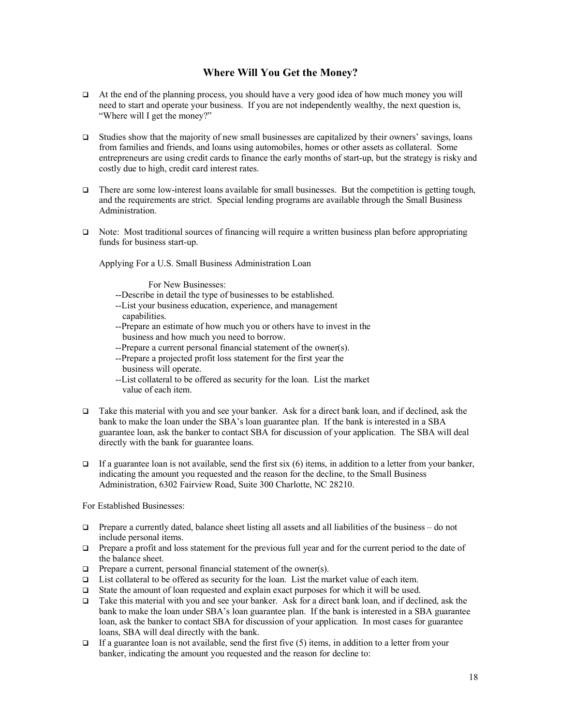# **Where Will You Get the Money?**

- $\Box$  At the end of the planning process, you should have a very good idea of how much money you will need to start and operate your business. If you are not independently wealthy, the next question is, "Where will I get the money?"
- $\Box$  Studies show that the majority of new small businesses are capitalized by their owners' savings, loans from families and friends, and loans using automobiles, homes or other assets as collateral. Some entrepreneurs are using credit cards to finance the early months of start-up, but the strategy is risky and costly due to high, credit card interest rates.
- There are some low-interest loans available for small businesses. But the competition is getting tough, and the requirements are strict. Special lending programs are available through the Small Business Administration.
- $\Box$  Note: Most traditional sources of financing will require a written business plan before appropriating funds for business start-up.

Applying For a U.S. Small Business Administration Loan

For New Businesses:

- --Describe in detail the type of businesses to be established.
- --List your business education, experience, and management capabilities.
- --Prepare an estimate of how much you or others have to invest in the business and how much you need to borrow.
- --Prepare a current personal financial statement of the owner(s).
- --Prepare a projected profit loss statement for the first year the business will operate.
- --List collateral to be offered as security for the loan. List the market value of each item.
- Take this material with you and see your banker. Ask for a direct bank loan, and if declined, ask the bank to make the loan under the SBA's loan guarantee plan. If the bank is interested in a SBA guarantee loan, ask the banker to contact SBA for discussion of your application. The SBA will deal directly with the bank for guarantee loans.
- $\Box$  If a guarantee loan is not available, send the first six (6) items, in addition to a letter from your banker, indicating the amount you requested and the reason for the decline, to the Small Business Administration, 6302 Fairview Road, Suite 300 Charlotte, NC 28210.

For Established Businesses:

- $\Box$  Prepare a currently dated, balance sheet listing all assets and all liabilities of the business do not include personal items.
- **Q** Prepare a profit and loss statement for the previous full year and for the current period to the date of the balance sheet.
- $\Box$  Prepare a current, personal financial statement of the owner(s).
- $\Box$  List collateral to be offered as security for the loan. List the market value of each item.
- $\Box$  State the amount of loan requested and explain exact purposes for which it will be used.
- q Take this material with you and see your banker. Ask for a direct bank loan, and if declined, ask the bank to make the loan under SBA's loan guarantee plan. If the bank is interested in a SBA guarantee loan, ask the banker to contact SBA for discussion of your application. In most cases for guarantee loans, SBA will deal directly with the bank.
- $\Box$  If a guarantee loan is not available, send the first five (5) items, in addition to a letter from your banker, indicating the amount you requested and the reason for decline to: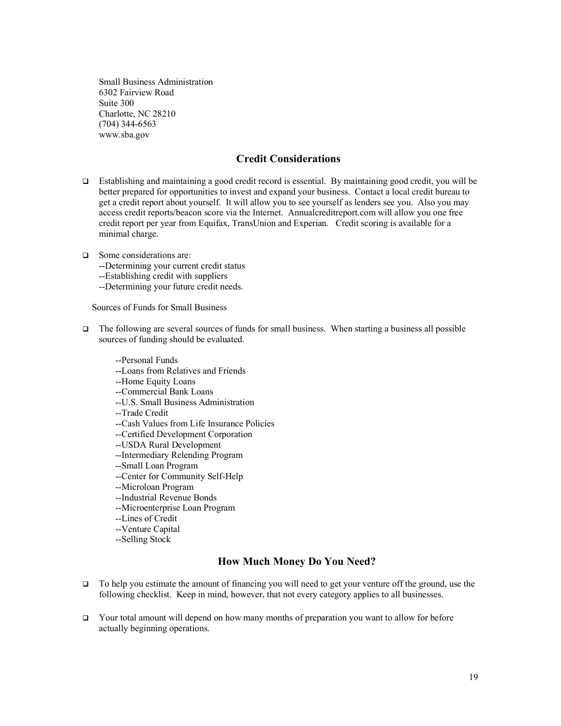Small Business Administration 6302 Fairview Road Suite 300 Charlotte, NC 28210 (704) 344-6563 www.sba.gov

# **Credit Considerations**

- Establishing and maintaining a good credit record is essential. By maintaining good credit, you will be better prepared for opportunities to invest and expand your business. Contact a local credit bureau to get a credit report about yourself. It will allow you to see yourself as lenders see you. Also you may access credit reports/beacon score via the Internet. Annualcreditreport.com will allow you one free credit report per year from Equifax, TransUnion and Experian. Credit scoring is available for a minimal charge.
- □ Some considerations are:
	- --Determining your current credit status
	- --Establishing credit with suppliers
	- --Determining your future credit needs.

Sources of Funds for Small Business

- $\Box$  The following are several sources of funds for small business. When starting a business all possible sources of funding should be evaluated.
	- --Personal Funds
	- --Loans from Relatives and Friends
	- --Home Equity Loans
	- --Commercial Bank Loans
	- --U.S. Small Business Administration
	- --Trade Credit
	- --Cash Values from Life Insurance Policies
	- --Certified Development Corporation
	- --USDA Rural Development
	- --Intermediary Relending Program
	- --Small Loan Program
	- --Center for Community Self-Help
	- --Microloan Program
	- --Industrial Revenue Bonds
	- --Microenterprise Loan Program
	- --Lines of Credit
	- --Venture Capital
	- --Selling Stock

# **How Much Money Do You Need?**

- $\Box$  To help you estimate the amount of financing you will need to get your venture off the ground, use the following checklist. Keep in mind, however, that not every category applies to all businesses.
- $\Box$  Your total amount will depend on how many months of preparation you want to allow for before actually beginning operations.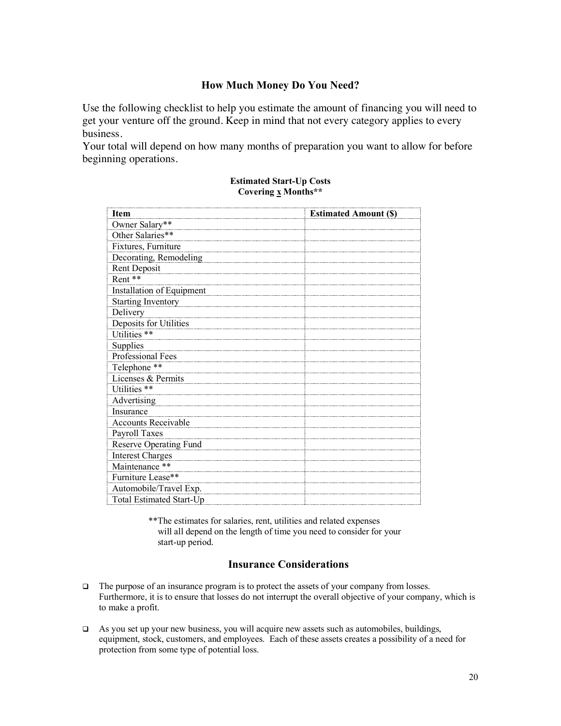# **How Much Money Do You Need?**

Use the following checklist to help you estimate the amount of financing you will need to get your venture off the ground. Keep in mind that not every category applies to every business.

Your total will depend on how many months of preparation you want to allow for before beginning operations.

| Item                             | <b>Estimated Amount (\$)</b> |
|----------------------------------|------------------------------|
| Owner Salary**                   |                              |
| Other Salaries**                 |                              |
| Fixtures, Furniture              |                              |
| Decorating, Remodeling           |                              |
| Rent Deposit                     |                              |
| Rent**                           |                              |
| <b>Installation of Equipment</b> |                              |
| <b>Starting Inventory</b>        |                              |
| Delivery                         |                              |
| Deposits for Utilities           |                              |
| Utilities **                     |                              |
| Supplies                         |                              |
| Professional Fees                |                              |
| Telephone **                     |                              |
| Licenses & Permits               |                              |
| Utilities **                     |                              |
| Advertising                      |                              |
| Insurance                        |                              |
| Accounts Receivable              |                              |
| Payroll Taxes                    |                              |
| Reserve Operating Fund           |                              |
| <b>Interest Charges</b>          |                              |
| Maintenance **                   |                              |
| Furniture Lease**                |                              |
| Automobile/Travel Exp.           |                              |
| <b>Total Estimated Start-Up</b>  |                              |

#### **Estimated Start-Up Costs Covering x Months\*\***

\*\*The estimates for salaries, rent, utilities and related expenses will all depend on the length of time you need to consider for your start-up period.

### **Insurance Considerations**

- $\Box$  The purpose of an insurance program is to protect the assets of your company from losses. Furthermore, it is to ensure that losses do not interrupt the overall objective of your company, which is to make a profit.
- $\Box$  As you set up your new business, you will acquire new assets such as automobiles, buildings, equipment, stock, customers, and employees. Each of these assets creates a possibility of a need for protection from some type of potential loss.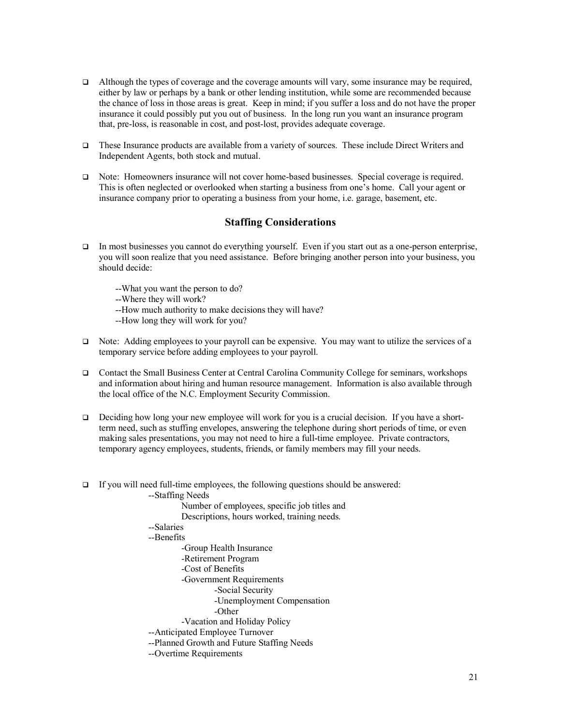- $\Box$  Although the types of coverage and the coverage amounts will vary, some insurance may be required, either by law or perhaps by a bank or other lending institution, while some are recommended because the chance of loss in those areas is great. Keep in mind; if you suffer a loss and do not have the proper insurance it could possibly put you out of business. In the long run you want an insurance program that, pre-loss, is reasonable in cost, and post-lost, provides adequate coverage.
- These Insurance products are available from a variety of sources. These include Direct Writers and Independent Agents, both stock and mutual.
- q Note: Homeowners insurance will not cover home-based businesses. Special coverage is required. This is often neglected or overlooked when starting a business from one's home. Call your agent or insurance company prior to operating a business from your home, i.e. garage, basement, etc.

# **Staffing Considerations**

- In most businesses you cannot do everything yourself. Even if you start out as a one-person enterprise, you will soon realize that you need assistance. Before bringing another person into your business, you should decide:
	- --What you want the person to do?
	- --Where they will work?
	- --How much authority to make decisions they will have?
	- --How long they will work for you?
- $\Box$  Note: Adding employees to your payroll can be expensive. You may want to utilize the services of a temporary service before adding employees to your payroll.
- q Contact the Small Business Center at Central Carolina Community College for seminars, workshops and information about hiring and human resource management. Information is also available through the local office of the N.C. Employment Security Commission.
- Deciding how long your new employee will work for you is a crucial decision. If you have a shortterm need, such as stuffing envelopes, answering the telephone during short periods of time, or even making sales presentations, you may not need to hire a full-time employee. Private contractors, temporary agency employees, students, friends, or family members may fill your needs.
- $\Box$  If you will need full-time employees, the following questions should be answered:

--Staffing Needs Number of employees, specific job titles and Descriptions, hours worked, training needs. --Salaries --Benefits -Group Health Insurance -Retirement Program -Cost of Benefits -Government Requirements -Social Security -Unemployment Compensation -Other -Vacation and Holiday Policy --Anticipated Employee Turnover --Planned Growth and Future Staffing Needs --Overtime Requirements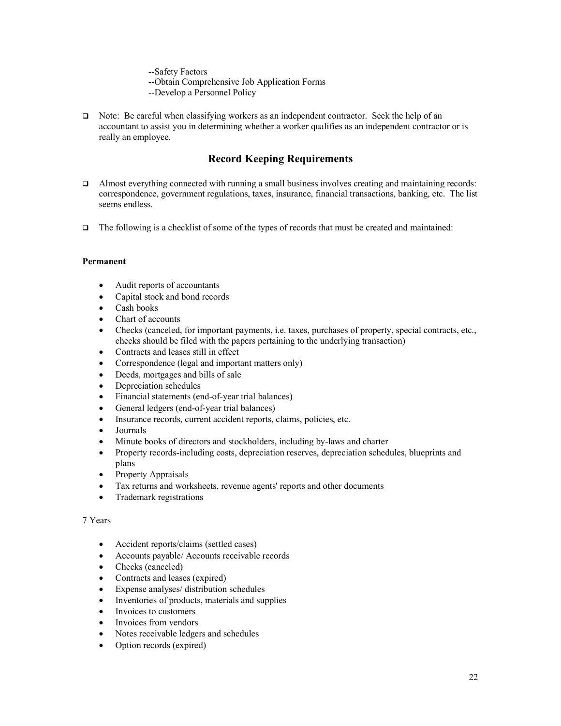--Safety Factors

--Obtain Comprehensive Job Application Forms

--Develop a Personnel Policy

 $\Box$  Note: Be careful when classifying workers as an independent contractor. Seek the help of an accountant to assist you in determining whether a worker qualifies as an independent contractor or is really an employee.

# **Record Keeping Requirements**

- $\Box$  Almost everything connected with running a small business involves creating and maintaining records: correspondence, government regulations, taxes, insurance, financial transactions, banking, etc. The list seems endless.
- $\Box$  The following is a checklist of some of the types of records that must be created and maintained:

#### **Permanent**

- Audit reports of accountants
- Capital stock and bond records
- Cash books
- Chart of accounts
- Checks (canceled, for important payments, i.e. taxes, purchases of property, special contracts, etc., checks should be filed with the papers pertaining to the underlying transaction)
- Contracts and leases still in effect
- Correspondence (legal and important matters only)
- Deeds, mortgages and bills of sale
- Depreciation schedules
- Financial statements (end-of-year trial balances)
- General ledgers (end-of-year trial balances)
- Insurance records, current accident reports, claims, policies, etc.
- Journals
- Minute books of directors and stockholders, including by-laws and charter
- Property records-including costs, depreciation reserves, depreciation schedules, blueprints and plans
- Property Appraisals
- Tax returns and worksheets, revenue agents' reports and other documents
- Trademark registrations

#### 7 Years

- Accident reports/claims (settled cases)
- Accounts payable/ Accounts receivable records
- Checks (canceled)
- Contracts and leases (expired)
- Expense analyses/ distribution schedules
- Inventories of products, materials and supplies
- Invoices to customers
- Invoices from vendors
- Notes receivable ledgers and schedules
- Option records (expired)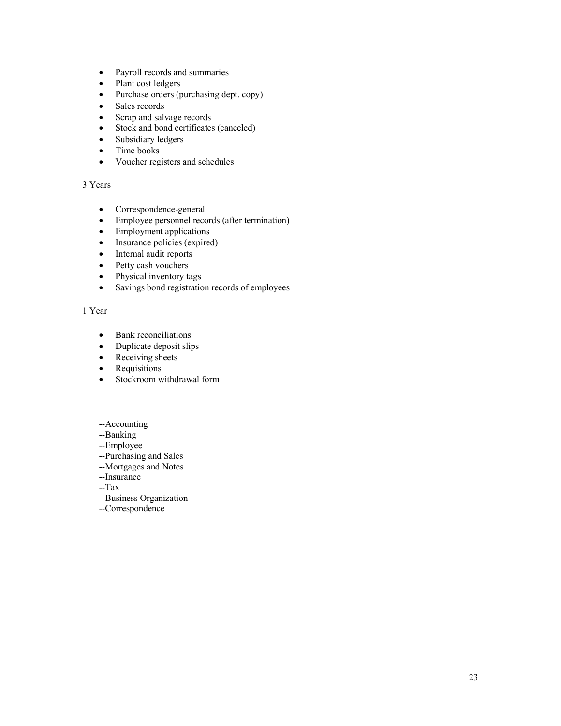- Payroll records and summaries
- Plant cost ledgers
- Purchase orders (purchasing dept. copy)
- Sales records
- Scrap and salvage records
- Stock and bond certificates (canceled)
- Subsidiary ledgers
- Time books
- Voucher registers and schedules

#### 3 Years

- Correspondence-general
- Employee personnel records (after termination)
- Employment applications
- Insurance policies (expired)
- Internal audit reports
- Petty cash vouchers
- Physical inventory tags
- Savings bond registration records of employees

#### 1 Year

- Bank reconciliations
- Duplicate deposit slips
- Receiving sheets
- Requisitions
- Stockroom withdrawal form
- --Accounting
- --Banking
- --Employee
- --Purchasing and Sales
- --Mortgages and Notes
- --Insurance
- --Tax
- --Business Organization
- --Correspondence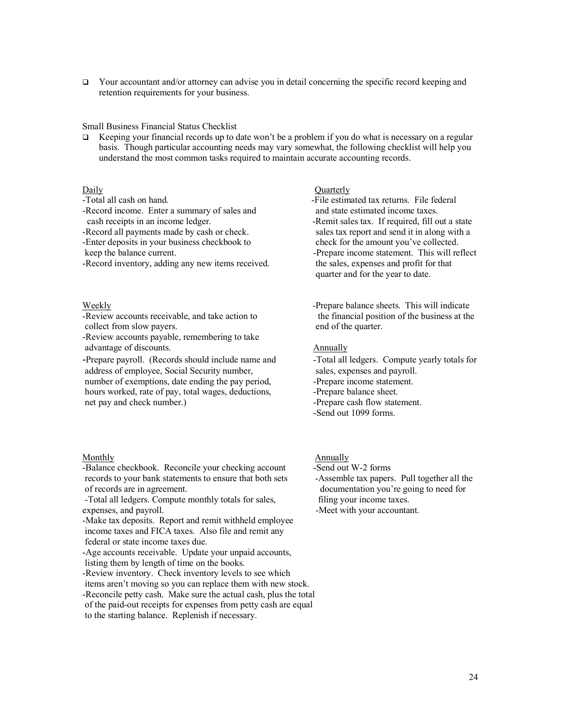$\Box$  Your accountant and/or attorney can advise you in detail concerning the specific record keeping and retention requirements for your business.

#### Small Business Financial Status Checklist

**Example 1** Keeping your financial records up to date won't be a problem if you do what is necessary on a regular basis. Though particular accounting needs may vary somewhat, the following checklist will help you understand the most common tasks required to maintain accurate accounting records.

-Record income. Enter a summary of sales and and state estimated income taxes. cash receipts in an income ledger. The state service of the state services are required, fill out a state

-Record inventory, adding any new items received. the sales, expenses and profit for that

collect from slow payers. end of the quarter.

-Review accounts payable, remembering to take advantage of discounts. Annually

address of employee, Social Security number, sales, expenses and payroll. number of exemptions, date ending the pay period,  $\blacksquare$  -Prepare income statement. hours worked, rate of pay, total wages, deductions, The summer palance sheet. net pay and check number.) -Prepare cash flow statement.

#### Monthly **Annually** Annually

-Balance checkbook. Reconcile your checking account -Send out W-2 forms records to your bank statements to ensure that both sets -Assemble tax papers. Pull together all the of records are in agreement. documentation you're going to need for

-Total all ledgers. Compute monthly totals for sales, filing your income taxes. expenses, and payroll.  $\blacksquare$ 

-Make tax deposits. Report and remit withheld employee income taxes and FICA taxes. Also file and remit any federal or state income taxes due.

-Age accounts receivable. Update your unpaid accounts, listing them by length of time on the books.

-Review inventory. Check inventory levels to see which items aren't moving so you can replace them with new stock. -Reconcile petty cash. Make sure the actual cash, plus the total of the paid-out receipts for expenses from petty cash are equal to the starting balance. Replenish if necessary.

#### Daily Ouarterly

-Total all cash on hand. The state of the estimated tax returns. File federal -Record all payments made by cash or check. sales tax report and send it in along with a -Enter deposits in your business checkbook to check for the amount you've collected. keep the balance current. This will reflect the balance current. quarter and for the year to date.

Weekly **Example 2.1** - Prepare balance sheets. This will indicate -Review accounts receivable, and take action to the financial position of the business at the

- -Prepare payroll. (Records should include name and -Total all ledgers. Compute yearly totals for
	-
	-
	-
	- -Send out 1099 forms.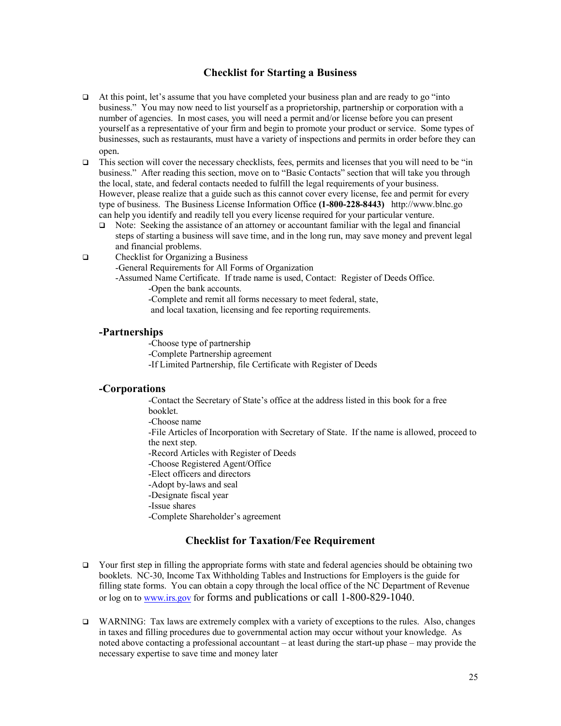# **Checklist for Starting a Business**

- $\Box$  At this point, let's assume that you have completed your business plan and are ready to go "into" business." You may now need to list yourself as a proprietorship, partnership or corporation with a number of agencies. In most cases, you will need a permit and/or license before you can present yourself as a representative of your firm and begin to promote your product or service. Some types of businesses, such as restaurants, must have a variety of inspections and permits in order before they can open.
- This section will cover the necessary checklists, fees, permits and licenses that you will need to be "in business." After reading this section, move on to "Basic Contacts" section that will take you through the local, state, and federal contacts needed to fulfill the legal requirements of your business. However, please realize that a guide such as this cannot cover every license, fee and permit for every type of business. The Business License Information Office **(1-800-228-8443)** http://www.blnc.go can help you identify and readily tell you every license required for your particular venture.
	- $\Box$  Note: Seeking the assistance of an attorney or accountant familiar with the legal and financial steps of starting a business will save time, and in the long run, may save money and prevent legal and financial problems.
- $\Box$  Checklist for Organizing a Business

-General Requirements for All Forms of Organization

-Assumed Name Certificate. If trade name is used, Contact: Register of Deeds Office.

-Open the bank accounts.

-Complete and remit all forms necessary to meet federal, state,

and local taxation, licensing and fee reporting requirements.

### **-Partnerships**

-Choose type of partnership

- -Complete Partnership agreement
- -If Limited Partnership, file Certificate with Register of Deeds

# **-Corporations**

-Contact the Secretary of State's office at the address listed in this book for a free booklet.

-Choose name

-File Articles of Incorporation with Secretary of State. If the name is allowed, proceed to the next step.

-Record Articles with Register of Deeds

-Choose Registered Agent/Office

-Elect officers and directors

-Adopt by-laws and seal

-Designate fiscal year

-Issue shares

-Complete Shareholder's agreement

# **Checklist for Taxation/Fee Requirement**

- $\Box$  Your first step in filling the appropriate forms with state and federal agencies should be obtaining two booklets. NC-30, Income Tax Withholding Tables and Instructions for Employers is the guide for filling state forms. You can obtain a copy through the local office of the NC Department of Revenue or log on to www.irs.gov for forms and publications or call 1-800-829-1040.
- $\Box$  WARNING: Tax laws are extremely complex with a variety of exceptions to the rules. Also, changes in taxes and filling procedures due to governmental action may occur without your knowledge. As noted above contacting a professional accountant – at least during the start-up phase – may provide the necessary expertise to save time and money later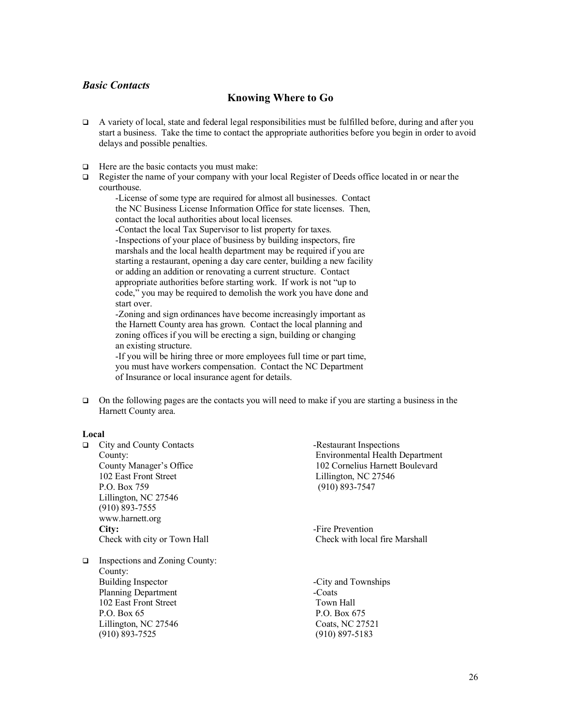# *Basic Contacts*

# **Knowing Where to Go**

- $\Box$  A variety of local, state and federal legal responsibilities must be fulfilled before, during and after you start a business. Take the time to contact the appropriate authorities before you begin in order to avoid delays and possible penalties.
- $\Box$  Here are the basic contacts you must make:
- $\Box$  Register the name of your company with your local Register of Deeds office located in or near the courthouse.

-License of some type are required for almost all businesses. Contact the NC Business License Information Office for state licenses. Then, contact the local authorities about local licenses. -Contact the local Tax Supervisor to list property for taxes.

-Inspections of your place of business by building inspectors, fire marshals and the local health department may be required if you are starting a restaurant, opening a day care center, building a new facility or adding an addition or renovating a current structure. Contact appropriate authorities before starting work. If work is not "up to code," you may be required to demolish the work you have done and start over.

-Zoning and sign ordinances have become increasingly important as the Harnett County area has grown. Contact the local planning and zoning offices if you will be erecting a sign, building or changing an existing structure.

-If you will be hiring three or more employees full time or part time, you must have workers compensation. Contact the NC Department of Insurance or local insurance agent for details.

 $\Box$  On the following pages are the contacts you will need to make if you are starting a business in the Harnett County area.

#### **Local**

q City and County Contacts -Restaurant Inspections County: Environmental Health Department County Manager's Office 102 Cornelius Harnett Boulevard 102 East Front Street Lillington, NC 27546 P.O. Box 759 (910) 893-7547 Lillington, NC 27546 (910) 893-7555 www.harnett.org **City:**  $\qquad \qquad$ -Fire Prevention Check with city or Town Hall Check with local fire Marshall

 $\Box$  Inspections and Zoning County: County: Building Inspector -City and Townships Planning Department -Coats 102 East Front Street Town Hall P.O. Box 65 P.O. Box 675 Lillington, NC 27546 Coats, NC 27521 (910) 893-7525 (910) 897-5183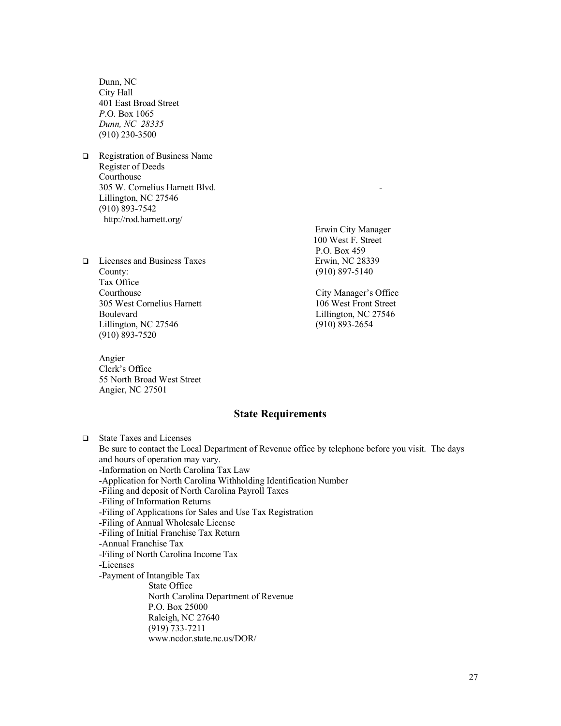Dunn, NC City Hall 401 East Broad Street *P*.O. Box 1065 *Dunn, NC 28335* (910) 230-3500

- **Q** Registration of Business Name Register of Deeds Courthouse 305 W. Cornelius Harnett Blvd. - Lillington, NC 27546 (910) 893-7542 http://rod.harnett.org/
- q Licenses and Business Taxes Erwin, NC 28339 County: (910) 897-5140 Tax Office Courthouse City Manager's Office 305 West Cornelius Harnett Boulevard Lillington, NC 27546 Lillington, NC 27546 (910) 893-2654 (910) 893-7520

Angier Clerk's Office 55 North Broad West Street Angier, NC 27501

 Erwin City Manager 100 West F. Street P.O. Box 459

### **State Requirements**

q State Taxes and Licenses Be sure to contact the Local Department of Revenue office by telephone before you visit. The days and hours of operation may vary. -Information on North Carolina Tax Law -Application for North Carolina Withholding Identification Number -Filing and deposit of North Carolina Payroll Taxes -Filing of Information Returns -Filing of Applications for Sales and Use Tax Registration -Filing of Annual Wholesale License -Filing of Initial Franchise Tax Return -Annual Franchise Tax -Filing of North Carolina Income Tax -Licenses -Payment of Intangible Tax State Office North Carolina Department of Revenue P.O. Box 25000 Raleigh, NC 27640 (919) 733-7211 www.ncdor.state.nc.us/DOR/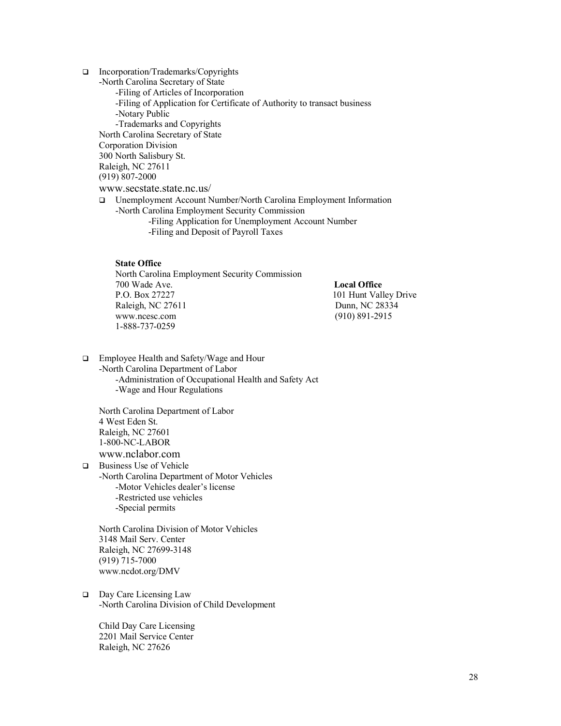- □ Incorporation/Trademarks/Copyrights -North Carolina Secretary of State -Filing of Articles of Incorporation -Filing of Application for Certificate of Authority to transact business -Notary Public -Trademarks and Copyrights North Carolina Secretary of State Corporation Division 300 North Salisbury St. Raleigh, NC 27611 (919) 807-2000 www.secstate.state.nc.us/ q Unemployment Account Number/North Carolina Employment Information -North Carolina Employment Security Commission
	- -Filing Application for Unemployment Account Number -Filing and Deposit of Payroll Taxes

#### **State Office**

North Carolina Employment Security Commission 700 Wade Ave. **Local Office**  P.O. Box 27227 101 Hunt Valley Drive Raleigh, NC 27611 Dunn, NC 28334 www.ncesc.com (910) 891-2915 1-888-737-0259

□ Employee Health and Safety/Wage and Hour -North Carolina Department of Labor -Administration of Occupational Health and Safety Act -Wage and Hour Regulations

North Carolina Department of Labor 4 West Eden St. Raleigh, NC 27601 1-800-NC-LABOR www.nclabor.com

**□** Business Use of Vehicle -North Carolina Department of Motor Vehicles -Motor Vehicles dealer's license -Restricted use vehicles -Special permits

North Carolina Division of Motor Vehicles 3148 Mail Serv. Center Raleigh, NC 27699-3148 (919) 715-7000 www.ncdot.org/DMV

□ Day Care Licensing Law -North Carolina Division of Child Development

Child Day Care Licensing 2201 Mail Service Center Raleigh, NC 27626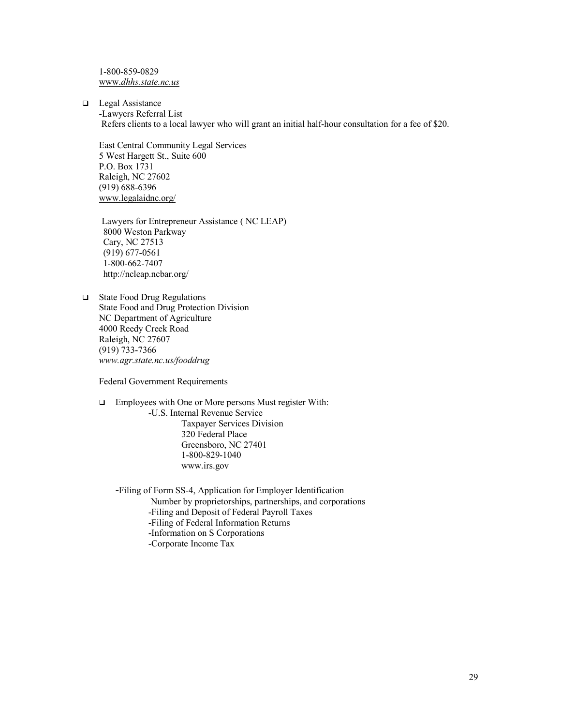1-800-859-0829 www.*dhhs.state.nc.us*

 $\Box$  Legal Assistance -Lawyers Referral List Refers clients to a local lawyer who will grant an initial half-hour consultation for a fee of \$20.

East Central Community Legal Services 5 West Hargett St., Suite 600 P.O. Box 1731 Raleigh, NC 27602 (919) 688-6396 www.legalaidnc.org/

 Lawyers for Entrepreneur Assistance ( NC LEAP) 8000 Weston Parkway Cary, NC 27513 (919) 677-0561 1-800-662-7407 http://ncleap.ncbar.org/

 $\Box$  State Food Drug Regulations State Food and Drug Protection Division NC Department of Agriculture 4000 Reedy Creek Road Raleigh, NC 27607 (919) 733-7366 *www.agr.state.nc.us/fooddrug*

Federal Government Requirements

□ Employees with One or More persons Must register With: -U.S. Internal Revenue Service Taxpayer Services Division 320 Federal Place

Greensboro, NC 27401 1-800-829-1040 www.irs.gov

-Filing of Form SS-4, Application for Employer Identification

Number by proprietorships, partnerships, and corporations

-Filing and Deposit of Federal Payroll Taxes

-Filing of Federal Information Returns

-Information on S Corporations

-Corporate Income Tax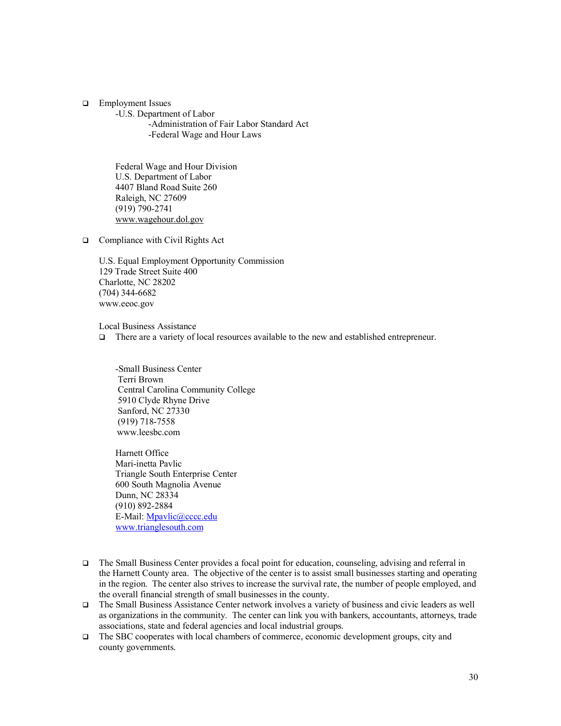**q** Employment Issues

-U.S. Department of Labor -Administration of Fair Labor Standard Act -Federal Wage and Hour Laws

Federal Wage and Hour Division U.S. Department of Labor 4407 Bland Road Suite 260 Raleigh, NC 27609 (919) 790-2741 www.wagehour.dol.gov

 $\Box$  Compliance with Civil Rights Act

U.S. Equal Employment Opportunity Commission 129 Trade Street Suite 400 Charlotte, NC 28202 (704) 344-6682 www.eeoc.gov

Local Business Assistance

□ There are a variety of local resources available to the new and established entrepreneur.

-Small Business Center Terri Brown Central Carolina Community College 5910 Clyde Rhyne Drive Sanford, NC 27330 (919) 718-7558 www.leesbc.com

Harnett Office Mari-inetta Pavlic Triangle South Enterprise Center 600 South Magnolia Avenue Dunn, NC 28334 (910) 892-2884 E-Mail: Mpavlic@cccc.edu www.trianglesouth.com

- $\Box$  The Small Business Center provides a focal point for education, counseling, advising and referral in the Harnett County area. The objective of the center is to assist small businesses starting and operating in the region. The center also strives to increase the survival rate, the number of people employed, and the overall financial strength of small businesses in the county.
- q The Small Business Assistance Center network involves a variety of business and civic leaders as well as organizations in the community. The center can link you with bankers, accountants, attorneys, trade associations, state and federal agencies and local industrial groups.
- $\Box$  The SBC cooperates with local chambers of commerce, economic development groups, city and county governments.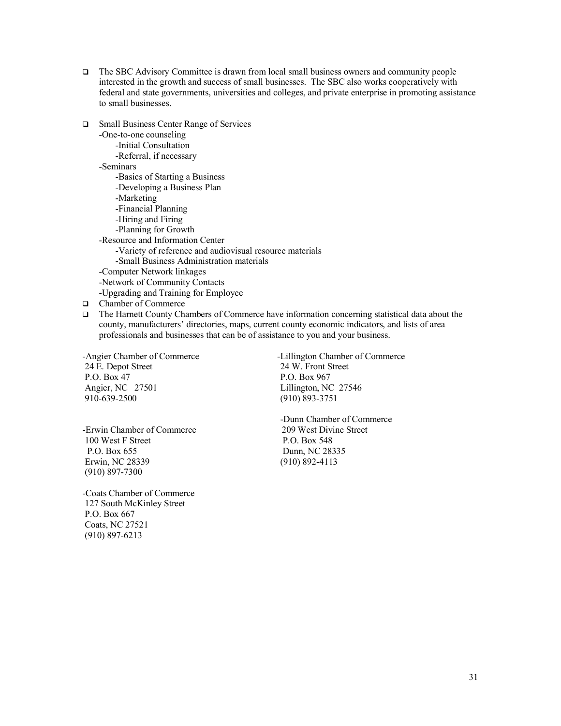- $\Box$  The SBC Advisory Committee is drawn from local small business owners and community people interested in the growth and success of small businesses. The SBC also works cooperatively with federal and state governments, universities and colleges, and private enterprise in promoting assistance to small businesses.
	- -One-to-one counseling -Initial Consultation -Referral, if necessary -Seminars -Basics of Starting a Business -Developing a Business Plan -Marketing -Financial Planning -Hiring and Firing -Planning for Growth -Resource and Information Center -Variety of reference and audiovisual resource materials -Small Business Administration materials -Computer Network linkages -Network of Community Contacts -Upgrading and Training for Employee

□ Small Business Center Range of Services

- **Q** Chamber of Commerce
- $\Box$  The Harnett County Chambers of Commerce have information concerning statistical data about the county, manufacturers' directories, maps, current county economic indicators, and lists of area professionals and businesses that can be of assistance to you and your business.

24 E. Depot Street 24 W. Front Street P.O. Box 47 P.O. Box 967 Angier, NC 27501 Lillington, NC 27546 910-639-2500 (910) 893-3751

-Angier Chamber of Commerce -Lillington Chamber of Commerce

-Erwin Chamber of Commerce 100 West F Street P.O. Box 548 P.O. Box 655 Dunn, NC 28335 Erwin, NC 28339 (910) 892-4113 (910) 897-7300

-Coats Chamber of Commerce 127 South McKinley Street P.O. Box 667 Coats, NC 27521 (910) 897-6213

-Dunn Chamber of Commerce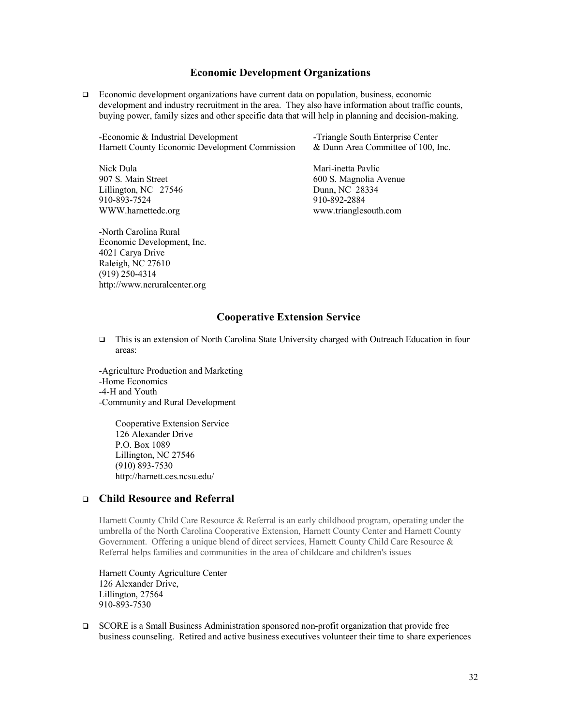#### **Economic Development Organizations**

 $\Box$  Economic development organizations have current data on population, business, economic development and industry recruitment in the area. They also have information about traffic counts, buying power, family sizes and other specific data that will help in planning and decision-making.

-Economic & Industrial Development -Triangle South Enterprise Center Harnett County Economic Development Commission & Dunn Area Committee of 100, Inc.

Lillington, NC 27546 Dunn, NC 28334 910-893-7524 910-892-2884

-North Carolina Rural Economic Development, Inc. 4021 Carya Drive Raleigh, NC 27610 (919) 250-4314 http://www.ncruralcenter.org

Nick Dula Mari-inetta Pavlic 907 S. Main Street 600 S. Magnolia Avenue WWW.harnettedc.org www.trianglesouth.com

# **Cooperative Extension Service**

q This is an extension of North Carolina State University charged with Outreach Education in four areas:

-Agriculture Production and Marketing -Home Economics -4-H and Youth -Community and Rural Development

> Cooperative Extension Service 126 Alexander Drive P.O. Box 1089 Lillington, NC 27546 (910) 893-7530 http://harnett.ces.ncsu.edu/

# <sup>q</sup> **Child Resource and Referral**

Harnett County Child Care Resource & Referral is an early childhood program, operating under the umbrella of the North Carolina Cooperative Extension, Harnett County Center and Harnett County Government. Offering a unique blend of direct services, Harnett County Child Care Resource & Referral helps families and communities in the area of childcare and children's issues

Harnett County Agriculture Center 126 Alexander Drive, Lillington, 27564 910-893-7530

q SCORE is a Small Business Administration sponsored non-profit organization that provide free business counseling. Retired and active business executives volunteer their time to share experiences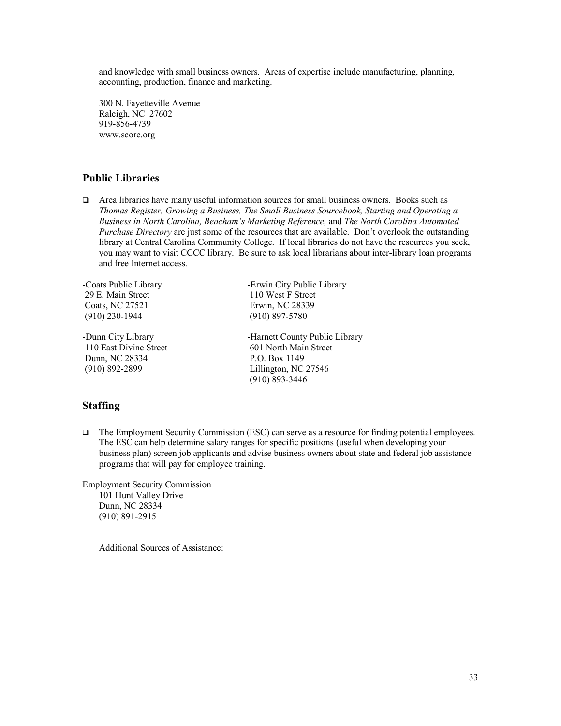and knowledge with small business owners. Areas of expertise include manufacturing, planning, accounting, production, finance and marketing.

300 N. Fayetteville Avenue Raleigh, NC 27602 919-856-4739 www.score.org

# **Public Libraries**

 $\Box$  Area libraries have many useful information sources for small business owners. Books such as *Thomas Register, Growing a Business, The Small Business Sourcebook, Starting and Operating a Business in North Carolina, Beacham's Marketing Reference,* and *The North Carolina Automated Purchase Directory* are just some of the resources that are available. Don't overlook the outstanding library at Central Carolina Community College. If local libraries do not have the resources you seek, you may want to visit CCCC library. Be sure to ask local librarians about inter-library loan programs and free Internet access.

29 E. Main Street 110 West F Street Coats, NC 27521 Erwin, NC 28339 (910) 230-1944 (910) 897-5780

110 East Divine Street Dunn, NC 28334 P.O. Box 1149 (910) 892-2899 Lillington, NC 27546

-Coats Public Library -Erwin City Public Library

-Dunn City Library<br>110 East Divine Street 601 North Main Street 601 North Main Street (910) 893-3446

# **Staffing**

□ The Employment Security Commission (ESC) can serve as a resource for finding potential employees. The ESC can help determine salary ranges for specific positions (useful when developing your business plan) screen job applicants and advise business owners about state and federal job assistance programs that will pay for employee training.

Employment Security Commission 101 Hunt Valley Drive Dunn, NC 28334 (910) 891-2915

Additional Sources of Assistance: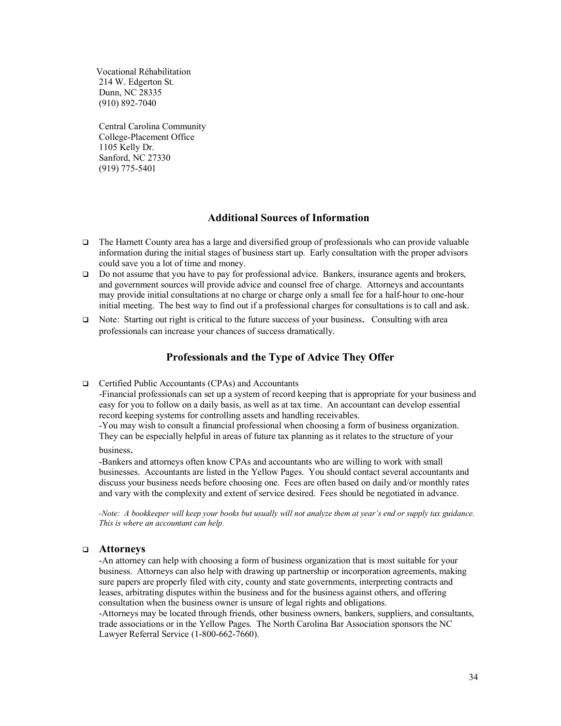Vocational Réhabilitation 214 W. Edgerton St. Dunn, NC 28335 (910) 892-7040

Central Carolina Community College-Placement Office 1105 Kelly Dr. Sanford, NC 27330 (919) 775-5401

### **Additional Sources of Information**

- $\Box$  The Harnett County area has a large and diversified group of professionals who can provide valuable information during the initial stages of business start up. Early consultation with the proper advisors could save you a lot of time and money.
- $\Box$  Do not assume that you have to pay for professional advice. Bankers, insurance agents and brokers, and government sources will provide advice and counsel free of charge. Attorneys and accountants may provide initial consultations at no charge or charge only a small fee for a half-hour to one-hour initial meeting. The best way to find out if a professional charges for consultations is to call and ask.
- $\Box$  Note: Starting out right is critical to the future success of your business. Consulting with area professionals can increase your chances of success dramatically.

# **Professionals and the Type of Advice They Offer**

#### □ Certified Public Accountants (CPAs) and Accountants

-Financial professionals can set up a system of record keeping that is appropriate for your business and easy for you to follow on a daily basis, as well as at tax time. An accountant can develop essential record keeping systems for controlling assets and handling receivables.

-You may wish to consult a financial professional when choosing a form of business organization. They can be especially helpful in areas of future tax planning as it relates to the structure of your

business.

-Bankers and attorneys often know CPAs and accountants who are willing to work with small businesses. Accountants are listed in the Yellow Pages. You should contact several accountants and discuss your business needs before choosing one. Fees are often based on daily and/or monthly rates and vary with the complexity and extent of service desired. Fees should be negotiated in advance.

*-Note: A bookkeeper will keep your books but usually will not analyze them at year's end or supply tax guidance. This is where an accountant can help.*

#### <sup>q</sup> **Attorneys**

-An attorney can help with choosing a form of business organization that is most suitable for your business. Attorneys can also help with drawing up partnership or incorporation agreements, making sure papers are properly filed with city, county and state governments, interpreting contracts and leases, arbitrating disputes within the business and for the business against others, and offering consultation when the business owner is unsure of legal rights and obligations.

-Attorneys may be located through friends, other business owners, bankers, suppliers, and consultants, trade associations or in the Yellow Pages. The North Carolina Bar Association sponsors the NC Lawyer Referral Service (1-800-662-7660).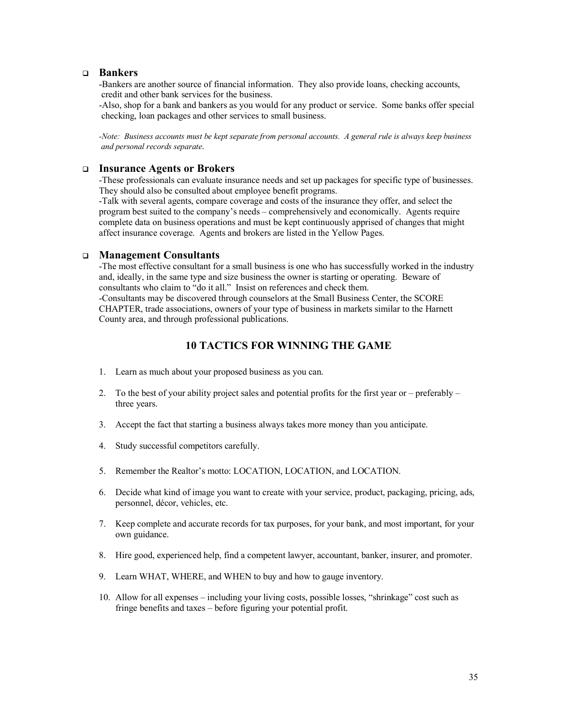#### <sup>q</sup> **Bankers**

-Bankers are another source of financial information. They also provide loans, checking accounts, credit and other bank services for the business.

-Also, shop for a bank and bankers as you would for any product or service. Some banks offer special checking, loan packages and other services to small business.

*-Note: Business accounts must be kept separate from personal accounts. A general rule is always keep business and personal records separate*.

#### <sup>q</sup> **Insurance Agents or Brokers**

-These professionals can evaluate insurance needs and set up packages for specific type of businesses. They should also be consulted about employee benefit programs.

-Talk with several agents, compare coverage and costs of the insurance they offer, and select the program best suited to the company's needs – comprehensively and economically. Agents require complete data on business operations and must be kept continuously apprised of changes that might affect insurance coverage. Agents and brokers are listed in the Yellow Pages.

#### <sup>q</sup> **Management Consultants**

-The most effective consultant for a small business is one who has successfully worked in the industry and, ideally, in the same type and size business the owner is starting or operating. Beware of consultants who claim to "do it all." Insist on references and check them. -Consultants may be discovered through counselors at the Small Business Center, the SCORE

CHAPTER, trade associations, owners of your type of business in markets similar to the Harnett County area, and through professional publications.

# **10 TACTICS FOR WINNING THE GAME**

- 1. Learn as much about your proposed business as you can.
- 2. To the best of your ability project sales and potential profits for the first year or preferably three years.
- 3. Accept the fact that starting a business always takes more money than you anticipate.
- 4. Study successful competitors carefully.
- 5. Remember the Realtor's motto: LOCATION, LOCATION, and LOCATION.
- 6. Decide what kind of image you want to create with your service, product, packaging, pricing, ads, personnel, décor, vehicles, etc.
- 7. Keep complete and accurate records for tax purposes, for your bank, and most important, for your own guidance.
- 8. Hire good, experienced help, find a competent lawyer, accountant, banker, insurer, and promoter.
- 9. Learn WHAT, WHERE, and WHEN to buy and how to gauge inventory.
- 10. Allow for all expenses including your living costs, possible losses, "shrinkage" cost such as fringe benefits and taxes – before figuring your potential profit.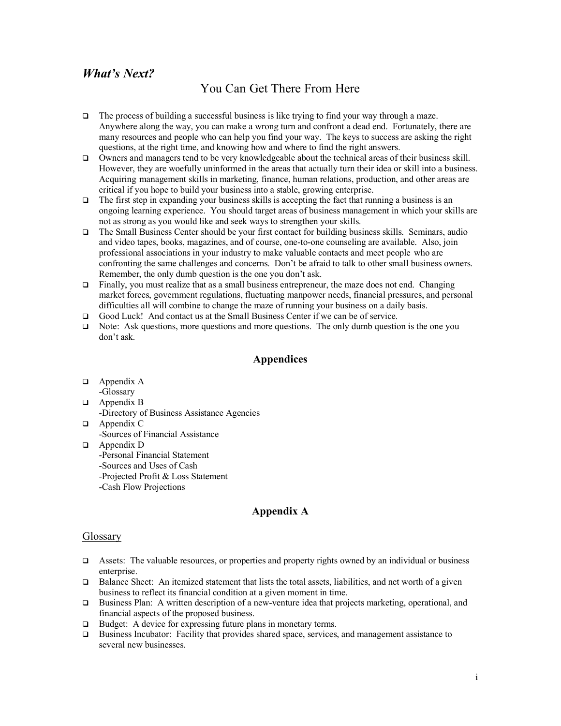# *What's Next?*

# You Can Get There From Here

- $\Box$  The process of building a successful business is like trying to find your way through a maze. Anywhere along the way, you can make a wrong turn and confront a dead end. Fortunately, there are many resources and people who can help you find your way. The keys to success are asking the right questions, at the right time, and knowing how and where to find the right answers.
- $\Box$  Owners and managers tend to be very knowledgeable about the technical areas of their business skill. However, they are woefully uninformed in the areas that actually turn their idea or skill into a business. Acquiring management skills in marketing, finance, human relations, production, and other areas are critical if you hope to build your business into a stable, growing enterprise.
- $\Box$  The first step in expanding your business skills is accepting the fact that running a business is an ongoing learning experience. You should target areas of business management in which your skills are not as strong as you would like and seek ways to strengthen your skills.
- q The Small Business Center should be your first contact for building business skills. Seminars, audio and video tapes, books, magazines, and of course, one-to-one counseling are available. Also, join professional associations in your industry to make valuable contacts and meet people who are confronting the same challenges and concerns. Don't be afraid to talk to other small business owners. Remember, the only dumb question is the one you don't ask.
- $\Box$  Finally, you must realize that as a small business entrepreneur, the maze does not end. Changing market forces, government regulations, fluctuating manpower needs, financial pressures, and personal difficulties all will combine to change the maze of running your business on a daily basis.
- □ Good Luck! And contact us at the Small Business Center if we can be of service.
- $\Box$  Note: Ask questions, more questions and more questions. The only dumb question is the one you don't ask.

### **Appendices**

- $\Box$  Appendix A -Glossary
- $\Box$  Appendix B -Directory of Business Assistance Agencies
- $\Box$  Appendix C -Sources of Financial Assistance
- $\Box$  Appendix D -Personal Financial Statement -Sources and Uses of Cash -Projected Profit & Loss Statement -Cash Flow Projections

# **Appendix A**

#### Glossary

- Assets: The valuable resources, or properties and property rights owned by an individual or business enterprise.
- $\Box$  Balance Sheet: An itemized statement that lists the total assets, liabilities, and net worth of a given business to reflect its financial condition at a given moment in time.
- $\Box$  Business Plan: A written description of a new-venture idea that projects marketing, operational, and financial aspects of the proposed business.
- $\Box$  Budget: A device for expressing future plans in monetary terms.
- $\Box$  Business Incubator: Facility that provides shared space, services, and management assistance to several new businesses.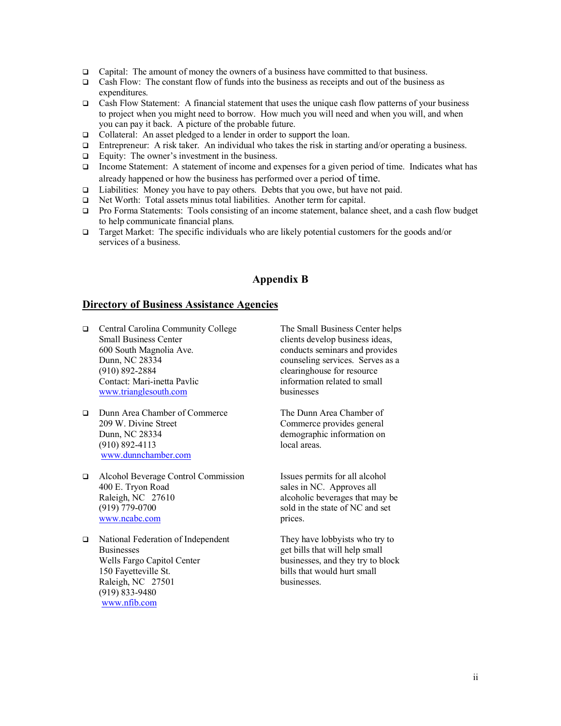- Gapital: The amount of money the owners of a business have committed to that business.
- Cash Flow: The constant flow of funds into the business as receipts and out of the business as expenditures.
- $\Box$  Cash Flow Statement: A financial statement that uses the unique cash flow patterns of your business to project when you might need to borrow. How much you will need and when you will, and when you can pay it back. A picture of the probable future.
- □ Collateral: An asset pledged to a lender in order to support the loan.
- $\Box$  Entrepreneur: A risk taker. An individual who takes the risk in starting and/or operating a business.
- $\Box$  Equity: The owner's investment in the business.
- $\Box$  Income Statement: A statement of income and expenses for a given period of time. Indicates what has already happened or how the business has performed over a period of time.
- $\Box$  Liabilities: Money you have to pay others. Debts that you owe, but have not paid.
- □ Net Worth: Total assets minus total liabilities. Another term for capital.
- q Pro Forma Statements: Tools consisting of an income statement, balance sheet, and a cash flow budget to help communicate financial plans.
- **Target Market:** The specific individuals who are likely potential customers for the goods and/or services of a business.

# **Appendix B**

#### **Directory of Business Assistance Agencies**

- q Central Carolina Community College The Small Business Center helps Small Business Center clients develop business ideas, 600 South Magnolia Ave. conducts seminars and provides Dunn, NC 28334 counseling services. Serves as a (910) 892-2884 clearinghouse for resource Contact: Mari-inetta Pavlic information related to small www.trianglesouth.com businesses
- q Dunn Area Chamber of Commerce The Dunn Area Chamber of 209 W. Divine Street Commerce provides general Dunn, NC 28334 demographic information on (910) 892-4113 local areas. www.dunnchamber.com
- q Alcohol Beverage Control Commission Issues permits for all alcohol 400 E. Tryon Road sales in NC. Approves all Raleigh, NC 27610 alcoholic beverages that may be (919) 779-0700 sold in the state of NC and set www.ncabc.com prices.
- $\Box$  National Federation of Independent They have lobbyists who try to Businesses<br>
Wells Fargo Capitol Center<br>
Businesses, and they try to b<br>
businesses, and they try to b 150 Fayetteville St. bills that would hurt small Raleigh, NC 27501 businesses. (919) 833-9480 www.nfib.com

businesses, and they try to block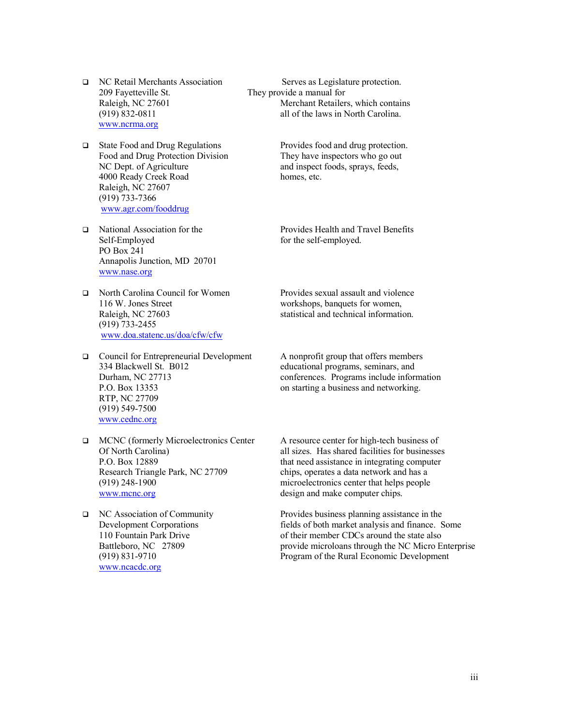- 209 Fayetteville St. They provide a manual for www.ncrma.org
- □ State Food and Drug Regulations Provides food and drug protection. Food and Drug Protection Division<br>
NC Dept. of Agriculture<br>
notice and inspect foods, sprays, feeds, 4000 Ready Creek Road homes, etc. Raleigh, NC 27607 (919) 733-7366 www.agr.com/fooddrug
- Self-Employed for the self-employed. PO Box 241 Annapolis Junction, MD 20701 www.nase.org
- q North Carolina Council for Women Provides sexual assault and violence 116 W. Jones Street workshops, banquets for women, Raleigh, NC 27603 statistical and technical information. (919) 733-2455 www.doa.statenc.us/doa/cfw/cfw
- □ Council for Entrepreneurial Development A nonprofit group that offers members 334 Blackwell St. B012 educational programs, seminars, and P.O. Box 13353 on starting a business and networking. RTP, NC 27709 (919) 549-7500 www.cednc.org
- q MCNC (formerly Microelectronics Center A resource center for high-tech business of Research Triangle Park, NC 27709 chips, operates a data network and has a (919) 248-1900 microelectronics center that helps people www.mcnc.org design and make computer chips.
- www.ncacdc.org

q NC Retail Merchants Association Serves as Legislature protection. Raleigh, NC 27601 Merchant Retailers, which contains<br>
(919) 832-0811 all of the laws in North Carolina. all of the laws in North Carolina.

and inspect foods, sprays, feeds,

q National Association for the Provides Health and Travel Benefits

Durham, NC 27713 conferences. Programs include information

Of North Carolina) all sizes. Has shared facilities for businesses P.O. Box 12889 that need assistance in integrating computer

q NC Association of Community Provides business planning assistance in the Development Corporations fields of both market analysis and finance. Some 110 Fountain Park Drive of their member CDCs around the state also Battleboro, NC 27809 provide microloans through the NC Micro Enterprise (919) 831-9710 Program of the Rural Economic Development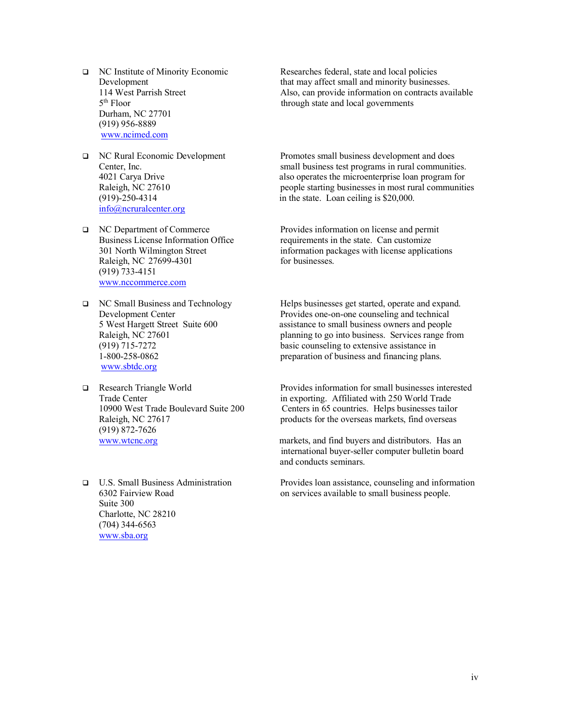- Durham, NC 27701 (919) 956-8889 www.ncimed.com
- info@ncruralcenter.org
- Raleigh, NC 27699-4301 for businesses. (919) 733-4151 www.nccommerce.com
- www.sbtdc.org
- (919) 872-7626
- Suite 300 Charlotte, NC 28210 (704) 344-6563 www.sba.org

**D** NC Institute of Minority Economic Researches federal, state and local policies<br>Development that may affect small and minority business Development<br>114 West Parrish Street 14 West Parrish Street 14 West Parrish Street 14 West Parrish Street 14 West Parrish Street Also, can provide information on contracts available 5<sup>th</sup> Floor through state and local governments

q NC Rural Economic Development Promotes small business development and does Center, Inc. Small business test programs in rural communities. 4021 Carya Drive also operates the microenterprise loan program for<br>Raleigh, NC 27610 people starting businesses in most rural communities people starting businesses in most rural communities (919)-250-4314 in the state. Loan ceiling is \$20,000.

q NC Department of Commerce Provides information on license and permit Business License Information Office requirements in the state. Can customize 301 North Wilmington Street information packages with license applications

q NC Small Business and Technology Helps businesses get started, operate and expand. Development Center Provides one-on-one counseling and technical<br>
5 West Hargett Street Suite 600 assistance to small business owners and people assistance to small business owners and people Raleigh, NC 27601 **planning to go into business.** Services range from (919) 715-7272 basic counseling to extensive assistance in 1-800-258-0862 preparation of business and financing plans.

q Research Triangle World Provides information for small businesses interested Trade Center in exporting. Affiliated with 250 World Trade 10900 West Trade Boulevard Suite 200 Centers in 65 countries. Helps businesses tailor Raleigh, NC 27617 **products** for the overseas markets, find overseas

www.wtcnc.org markets, and find buyers and distributors. Has an international buyer-seller computer bulletin board and conducts seminars.

q U.S. Small Business Administration Provides loan assistance, counseling and information 6302 Fairview Road on services available to small business people.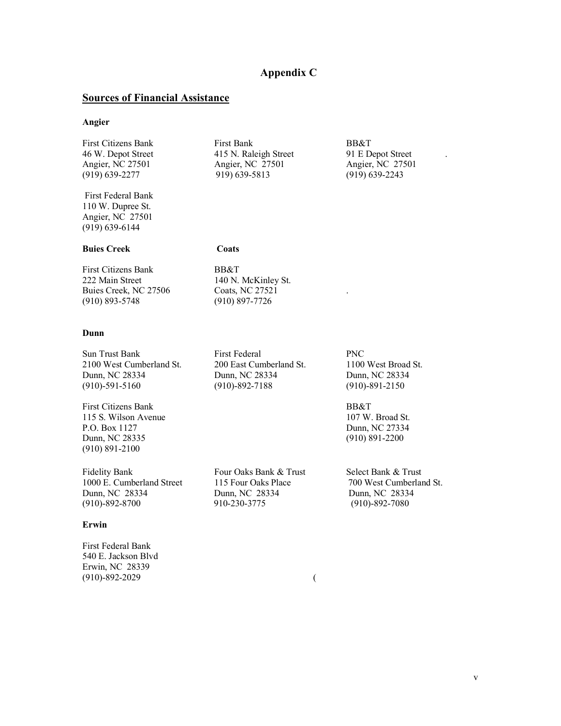# **Appendix C**

# **Sources of Financial Assistance**

#### **Angier**

| <b>First Citizens Bank</b> | First Bank            | BB&T              |
|----------------------------|-----------------------|-------------------|
| 46 W. Depot Street         | 415 N. Raleigh Street | 91 E Depot Street |
| Angier, NC 27501           | Angier, NC 27501      | Angier, NC 27501  |
| $(919)$ 639-2277           | 919) 639-5813         | $(919)$ 639-2243  |

First Federal Bank 110 W. Dupree St. Angier, NC 27501 (919) 639-6144

#### **Buies Creek Coats**

First Citizens Bank BB&T<br>222 Main Street 140 N. Buies Creek, NC 27506 Coats, NC 27521 (910) 893-5748 (910) 897-7726

#### **Dunn**

Sun Trust Bank First Federal PNC 2100 West Cumberland St. 200 East Cumberland St. 1100 West Broad St. Dunn, NC 28334 Dunn, NC 28334 Dunn, NC 28334 (910)-591-5160 (910)-892-7188 (910)-891-2150

First Citizens Bank BB&T 115 S. Wilson Avenue 107 W. Broad St. P.O. Box 1127 Dunn, NC 27334 Dunn, NC 28335 (910) 891-2200 (910) 891-2100

Fidelity Bank Four Oaks Bank & Trust Select Bank & Trust 1000 E. Cumberland Street 115 Four Oaks Place 700 West Cumberland St.<br>
Dunn, NC 28334 Dunn, NC 28334 Dunn, NC 28334 (910)-892-8700 910-230-3775 (910)-892-7080

#### **Erwin**

First Federal Bank 540 E. Jackson Blvd Erwin, NC 28339 (910)-892-2029 (

140 N. McKinley St.

Dunn, NC 28334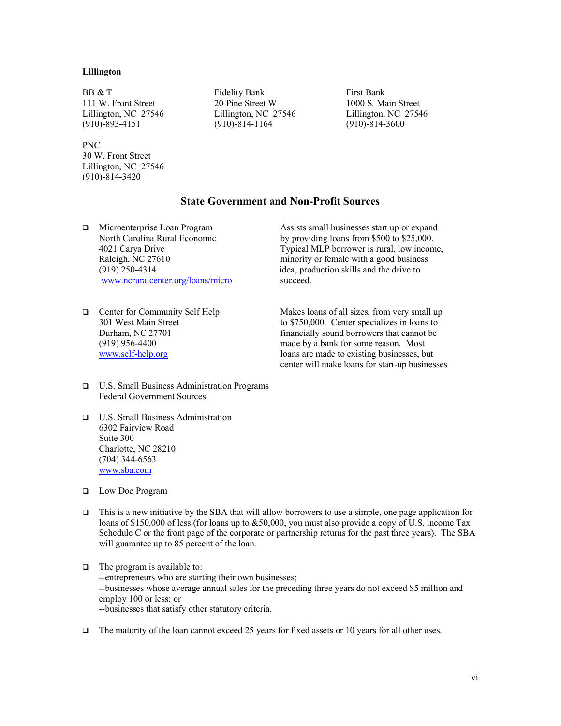#### **Lillington**

(910)-893-4151 (910)-814-1164 (910)-814-3600

#### PNC 30 W. Front Street Lillington, NC 27546 (910)-814-3420

BB & T Fidelity Bank First Bank 111 W. Front Street 20 Pine Street W 1000 S. Main Street Lillington, NC 27546 Lillington, NC 27546 Lillington, NC 27546

# **State Government and Non-Profit Sources**

www.ncruralcenter.org/loans/micro succeed.

q Microenterprise Loan Program Assists small businesses start up or expand North Carolina Rural Economic by providing loans from \$500 to \$25,000. 4021 Carya Drive Typical MLP borrower is rural, low income, Raleigh, NC 27610 minority or female with a good business (919) 250-4314 idea, production skills and the drive to

q Center for Community Self Help Makes loans of all sizes, from very small up

301 West Main Street to \$750,000. Center specializes in loans to Durham, NC 27701 financially sound borrowers that cannot be (919) 956-4400 made by a bank for some reason. Most www.self-help.org loans are made to existing businesses, but center will make loans for start-up businesses

- q U.S. Small Business Administration Programs Federal Government Sources
- q U.S. Small Business Administration 6302 Fairview Road Suite 300 Charlotte, NC 28210 (704) 344-6563 www.sba.com
- q Low Doc Program
- This is a new initiative by the SBA that will allow borrowers to use a simple, one page application for loans of \$150,000 of less (for loans up to &50,000, you must also provide a copy of U.S. income Tax Schedule C or the front page of the corporate or partnership returns for the past three years). The SBA will guarantee up to 85 percent of the loan.
- $\Box$  The program is available to: --entrepreneurs who are starting their own businesses; --businesses whose average annual sales for the preceding three years do not exceed \$5 million and employ 100 or less; or --businesses that satisfy other statutory criteria.
- The maturity of the loan cannot exceed 25 years for fixed assets or 10 years for all other uses.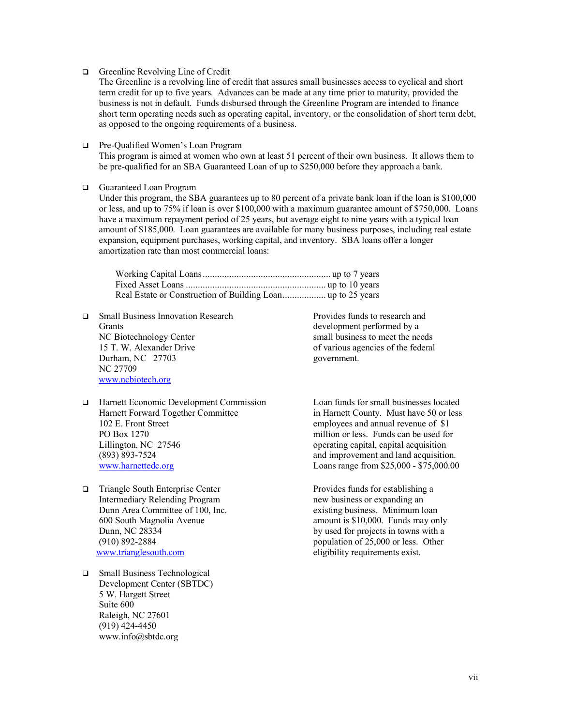**Q** Greenline Revolving Line of Credit

The Greenline is a revolving line of credit that assures small businesses access to cyclical and short term credit for up to five years. Advances can be made at any time prior to maturity, provided the business is not in default. Funds disbursed through the Greenline Program are intended to finance short term operating needs such as operating capital, inventory, or the consolidation of short term debt, as opposed to the ongoing requirements of a business.

□ Pre-Qualified Women's Loan Program

This program is aimed at women who own at least 51 percent of their own business. It allows them to be pre-qualified for an SBA Guaranteed Loan of up to \$250,000 before they approach a bank.

**Q** Guaranteed Loan Program

Under this program, the SBA guarantees up to 80 percent of a private bank loan if the loan is \$100,000 or less, and up to 75% if loan is over \$100,000 with a maximum guarantee amount of \$750,000. Loans have a maximum repayment period of 25 years, but average eight to nine years with a typical loan amount of \$185,000. Loan guarantees are available for many business purposes, including real estate expansion, equipment purchases, working capital, and inventory. SBA loans offer a longer amortization rate than most commercial loans:

- q Small Business Innovation Research Provides funds to research and Grants development performed by a NC Biotechnology Center small business to meet the needs 15 T. W. Alexander Drive of various agencies of the federal Durham, NC 27703 government. NC 27709 www.ncbiotech.org
- q Harnett Economic Development Commission Loan funds for small businesses located 102 E. Front Street employees and annual revenue of \$1 PO Box 1270 million or less. Funds can be used for<br>Lillington, NC 27546 operating capital, capital acquisition (893) 893-7524 and improvement and land acquisition. www.harnettedc.org Loans range from \$25,000 - \$75,000.00
- q Triangle South Enterprise Center Provides funds for establishing a Intermediary Relending Program new business or expanding an Dunn Area Committee of 100, Inc. existing business. Minimum loan www.trianglesouth.com eligibility requirements exist.
- □ Small Business Technological Development Center (SBTDC) 5 W. Hargett Street Suite 600 Raleigh, NC 27601 (919) 424-4450 www.info@sbtdc.org

in Harnett County. Must have 50 or less operating capital, capital acquisition

600 South Magnolia Avenue amount is \$10,000. Funds may only Dunn, NC 28334 by used for projects in towns with a<br>
(910) 892-2884 population of 25,000 or less. Other population of 25,000 or less. Other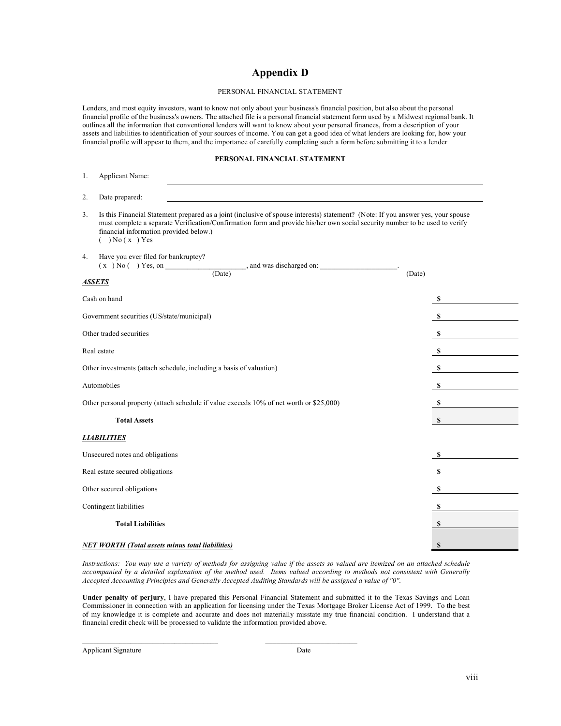# **Appendix D**

#### PERSONAL FINANCIAL STATEMENT

Lenders, and most equity investors, want to know not only about your business's financial position, but also about the personal financial profile of the business's owners. The attached file is a personal financial statement form used by a Midwest regional bank. It outlines all the information that conventional lenders will want to know about your personal finances, from a description of your assets and liabilities to identification of your sources of income. You can get a good idea of what lenders are looking for, how your financial profile will appear to them, and the importance of carefully completing such a form before submitting it to a lender

#### **PERSONAL FINANCIAL STATEMENT**

| 1.                                                                  | Applicant Name:                                                                                                                                                                                                                                                                                                                 |              |  |
|---------------------------------------------------------------------|---------------------------------------------------------------------------------------------------------------------------------------------------------------------------------------------------------------------------------------------------------------------------------------------------------------------------------|--------------|--|
| 2.                                                                  | Date prepared:                                                                                                                                                                                                                                                                                                                  |              |  |
| 3.                                                                  | Is this Financial Statement prepared as a joint (inclusive of spouse interests) statement? (Note: If you answer yes, your spouse<br>must complete a separate Verification/Confirmation form and provide his/her own social security number to be used to verify<br>financial information provided below.)<br>$( )$ No $(x)$ Yes |              |  |
| 4.                                                                  | Have you ever filed for bankruptcy?<br>$(x) No($ $) Yes, on$                                                                                                                                                                                                                                                                    |              |  |
| <b>ASSETS</b>                                                       |                                                                                                                                                                                                                                                                                                                                 | (Date)       |  |
|                                                                     | Cash on hand                                                                                                                                                                                                                                                                                                                    | - \$         |  |
|                                                                     | Government securities (US/state/municipal)                                                                                                                                                                                                                                                                                      | - \$         |  |
|                                                                     | Other traded securities                                                                                                                                                                                                                                                                                                         | - \$         |  |
| Real estate                                                         |                                                                                                                                                                                                                                                                                                                                 | $\mathbf s$  |  |
| Other investments (attach schedule, including a basis of valuation) |                                                                                                                                                                                                                                                                                                                                 | $\mathbf s$  |  |
| Automobiles<br><b>S</b>                                             |                                                                                                                                                                                                                                                                                                                                 |              |  |
|                                                                     | Other personal property (attach schedule if value exceeds 10% of net worth or \$25,000)                                                                                                                                                                                                                                         | \$           |  |
|                                                                     | <b>Total Assets</b>                                                                                                                                                                                                                                                                                                             | $\mathbf{s}$ |  |
|                                                                     | <b>LIABILITIES</b>                                                                                                                                                                                                                                                                                                              |              |  |
|                                                                     | Unsecured notes and obligations                                                                                                                                                                                                                                                                                                 | - \$         |  |
| Real estate secured obligations                                     |                                                                                                                                                                                                                                                                                                                                 | \$           |  |
| Other secured obligations                                           |                                                                                                                                                                                                                                                                                                                                 | - \$         |  |
|                                                                     | Contingent liabilities                                                                                                                                                                                                                                                                                                          | \$           |  |
|                                                                     | <b>Total Liabilities</b>                                                                                                                                                                                                                                                                                                        | \$           |  |
|                                                                     | <b>NET WORTH (Total assets minus total liabilities)</b>                                                                                                                                                                                                                                                                         | \$           |  |

*Instructions: You may use a variety of methods for assigning value if the assets so valued are itemized on an attached schedule accompanied by a detailed explanation of the method used. Items valued according to methods not consistent with Generally Accepted Accounting Principles and Generally Accepted Auditing Standards will be assigned a value of "0".*

**Under penalty of perjury**, I have prepared this Personal Financial Statement and submitted it to the Texas Savings and Loan Commissioner in connection with an application for licensing under the Texas Mortgage Broker License Act of 1999. To the best of my knowledge it is complete and accurate and does not materially misstate my true financial condition. I understand that a financial credit check will be processed to validate the information provided above.

 $\mathcal{L}_\text{max}$ 

Applicant Signature Date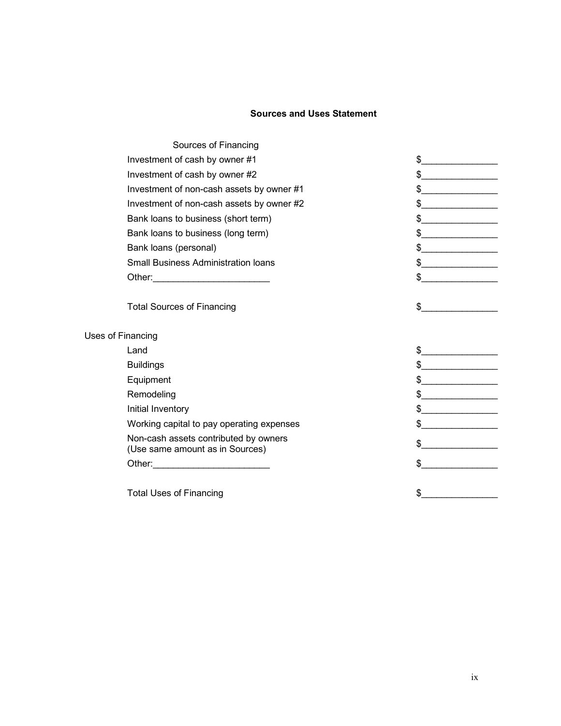# **Sources and Uses Statement**

| Sources of Financing                                                     |                                                                                                                                                                                                                                                                                                                                                                                                                          |
|--------------------------------------------------------------------------|--------------------------------------------------------------------------------------------------------------------------------------------------------------------------------------------------------------------------------------------------------------------------------------------------------------------------------------------------------------------------------------------------------------------------|
| Investment of cash by owner #1                                           | \$                                                                                                                                                                                                                                                                                                                                                                                                                       |
| Investment of cash by owner #2                                           | $\frac{1}{2}$                                                                                                                                                                                                                                                                                                                                                                                                            |
| Investment of non-cash assets by owner #1                                | $\frac{1}{2}$                                                                                                                                                                                                                                                                                                                                                                                                            |
| Investment of non-cash assets by owner #2                                | $\frac{1}{2}$                                                                                                                                                                                                                                                                                                                                                                                                            |
| Bank loans to business (short term)                                      | $\frac{1}{2}$                                                                                                                                                                                                                                                                                                                                                                                                            |
| Bank loans to business (long term)                                       | $\frac{1}{2}$                                                                                                                                                                                                                                                                                                                                                                                                            |
| Bank loans (personal)                                                    | $\begin{picture}(20,10) \put(0,0){\vector(1,0){100}} \put(15,0){\vector(1,0){100}} \put(15,0){\vector(1,0){100}} \put(15,0){\vector(1,0){100}} \put(15,0){\vector(1,0){100}} \put(15,0){\vector(1,0){100}} \put(15,0){\vector(1,0){100}} \put(15,0){\vector(1,0){100}} \put(15,0){\vector(1,0){100}} \put(15,0){\vector(1,0){100}} \put(15,0){\vector(1,0){100}} \$                                                      |
| <b>Small Business Administration loans</b>                               | $\frac{1}{2}$                                                                                                                                                                                                                                                                                                                                                                                                            |
|                                                                          | $\frac{1}{2}$                                                                                                                                                                                                                                                                                                                                                                                                            |
|                                                                          |                                                                                                                                                                                                                                                                                                                                                                                                                          |
| <b>Total Sources of Financing</b>                                        | \$                                                                                                                                                                                                                                                                                                                                                                                                                       |
|                                                                          |                                                                                                                                                                                                                                                                                                                                                                                                                          |
| Uses of Financing                                                        |                                                                                                                                                                                                                                                                                                                                                                                                                          |
| Land                                                                     | $\sim$                                                                                                                                                                                                                                                                                                                                                                                                                   |
| <b>Buildings</b>                                                         | $\frac{1}{2}$                                                                                                                                                                                                                                                                                                                                                                                                            |
| Equipment                                                                | $\begin{picture}(20,10) \put(0,0){\vector(1,0){100}} \put(15,0){\vector(1,0){100}} \put(15,0){\vector(1,0){100}} \put(15,0){\vector(1,0){100}} \put(15,0){\vector(1,0){100}} \put(15,0){\vector(1,0){100}} \put(15,0){\vector(1,0){100}} \put(15,0){\vector(1,0){100}} \put(15,0){\vector(1,0){100}} \put(15,0){\vector(1,0){100}} \put(15,0){\vector(1,0){100}} \$                                                      |
| Remodeling                                                               | $\frac{1}{2}$                                                                                                                                                                                                                                                                                                                                                                                                            |
| Initial Inventory                                                        | $\begin{picture}(20,10) \put(0,0){\vector(1,0){100}} \put(15,0){\vector(1,0){100}} \put(15,0){\vector(1,0){100}} \put(15,0){\vector(1,0){100}} \put(15,0){\vector(1,0){100}} \put(15,0){\vector(1,0){100}} \put(15,0){\vector(1,0){100}} \put(15,0){\vector(1,0){100}} \put(15,0){\vector(1,0){100}} \put(15,0){\vector(1,0){100}} \put(15,0){\vector(1,0){100}} \$                                                      |
| Working capital to pay operating expenses                                | $\begin{array}{c c c c c} \hline \texttt{S} & \texttt{S} & \texttt{S} & \texttt{S} & \texttt{S} & \texttt{S} & \texttt{S} & \texttt{S} & \texttt{S} & \texttt{S} & \texttt{S} & \texttt{S} & \texttt{S} & \texttt{S} & \texttt{S} & \texttt{S} & \texttt{S} & \texttt{S} & \texttt{S} & \texttt{S} & \texttt{S} & \texttt{S} & \texttt{S} & \texttt{S} & \texttt{S} & \texttt{S} & \texttt{S} & \texttt{S} & \texttt{S}$ |
| Non-cash assets contributed by owners<br>(Use same amount as in Sources) | $\frac{1}{2}$                                                                                                                                                                                                                                                                                                                                                                                                            |
|                                                                          | $\mathbb{S}^-$                                                                                                                                                                                                                                                                                                                                                                                                           |
|                                                                          |                                                                                                                                                                                                                                                                                                                                                                                                                          |
| <b>Total Uses of Financing</b>                                           | \$                                                                                                                                                                                                                                                                                                                                                                                                                       |
|                                                                          |                                                                                                                                                                                                                                                                                                                                                                                                                          |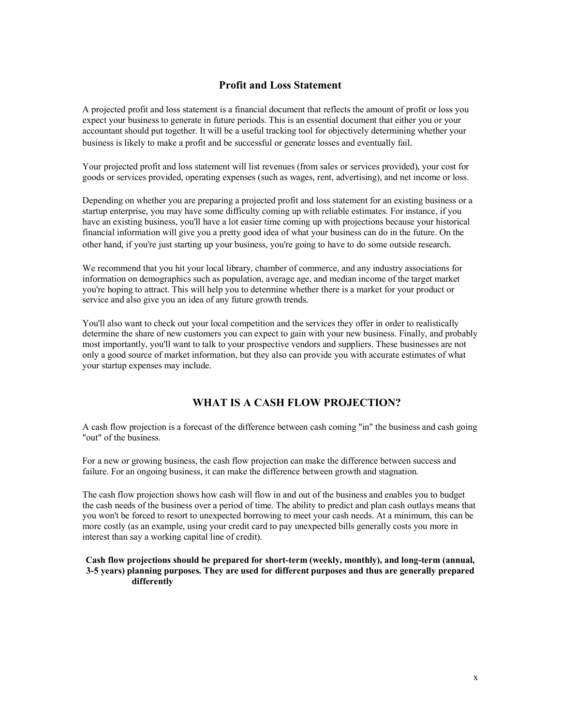# **Profit and Loss Statement**

A projected profit and loss statement is a financial document that reflects the amount of profit or loss you expect your business to generate in future periods. This is an essential document that either you or your accountant should put together. It will be a useful tracking tool for objectively determining whether your business is likely to make a profit and be successful or generate losses and eventually fail.

Your projected profit and loss statement will list revenues (from sales or services provided), your cost for goods or services provided, operating expenses (such as wages, rent, advertising), and net income or loss.

Depending on whether you are preparing a projected profit and loss statement for an existing business or a startup enterprise, you may have some difficulty coming up with reliable estimates. For instance, if you have an existing business, you'll have a lot easier time coming up with projections because your historical financial information will give you a pretty good idea of what your business can do in the future. On the other hand, if you're just starting up your business, you're going to have to do some outside research.

We recommend that you hit your local library, chamber of commerce, and any industry associations for information on demographics such as population, average age, and median income of the target market you're hoping to attract. This will help you to determine whether there is a market for your product or service and also give you an idea of any future growth trends.

You'll also want to check out your local competition and the services they offer in order to realistically determine the share of new customers you can expect to gain with your new business. Finally, and probably most importantly, you'll want to talk to your prospective vendors and suppliers. These businesses are not only a good source of market information, but they also can provide you with accurate estimates of what your startup expenses may include.

# **WHAT IS A CASH FLOW PROJECTION?**

A cash flow projection is a forecast of the difference between cash coming "in" the business and cash going "out" of the business.

For a new or growing business, the cash flow projection can make the difference between success and failure. For an ongoing business, it can make the difference between growth and stagnation.

The cash flow projection shows how cash will flow in and out of the business and enables you to budget the cash needs of the business over a period of time. The ability to predict and plan cash outlays means that you won't be forced to resort to unexpected borrowing to meet your cash needs. At a minimum, this can be more costly (as an example, using your credit card to pay unexpected bills generally costs you more in interest than say a working capital line of credit).

**Cash flow projections should be prepared for short-term (weekly, monthly), and long-term (annual, 3-5 years) planning purposes. They are used for different purposes and thus are generally prepared differently**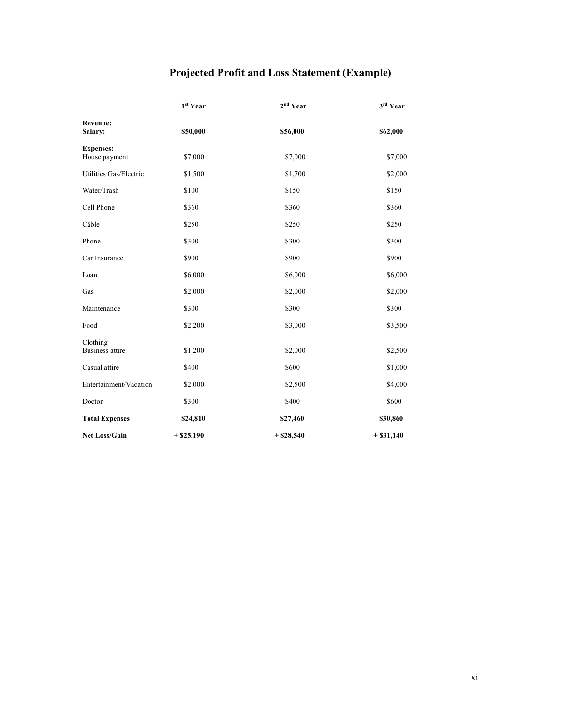# **Projected Profit and Loss Statement (Example)**

|                                    | 1 <sup>st</sup> Year | 2 <sup>nd</sup> Year | 3rd Year    |
|------------------------------------|----------------------|----------------------|-------------|
| <b>Revenue:</b><br>Salary:         | \$50,000             | \$56,000             | \$62,000    |
| <b>Expenses:</b><br>House payment  | \$7,000              | \$7,000              | \$7,000     |
| Utilities Gas/Electric             | \$1,500              | \$1,700              | \$2,000     |
| Water/Trash                        | \$100                | \$150                | \$150       |
| Cell Phone                         | \$360                | \$360                | \$360       |
| Câble                              | \$250                | \$250                | \$250       |
| Phone                              | \$300                | \$300                | \$300       |
| Car Insurance                      | \$900                | \$900                | \$900       |
| Loan                               | \$6,000              | \$6,000              | \$6,000     |
| Gas                                | \$2,000              | \$2,000              | \$2,000     |
| Maintenance                        | \$300                | \$300                | \$300       |
| Food                               | \$2,200              | \$3,000              | \$3,500     |
| Clothing<br><b>Business attire</b> | \$1,200              | \$2,000              | \$2,500     |
| Casual attire                      | \$400                | \$600                | \$1,000     |
| Entertainment/Vacation             | \$2,000              | \$2,500              | \$4,000     |
| Doctor                             | \$300                | \$400                | \$600       |
| <b>Total Expenses</b>              | \$24,810             | \$27,460             | \$30,860    |
| <b>Net Loss/Gain</b>               | $+$ \$25,190         | $+ $28,540$          | $+ $31,140$ |